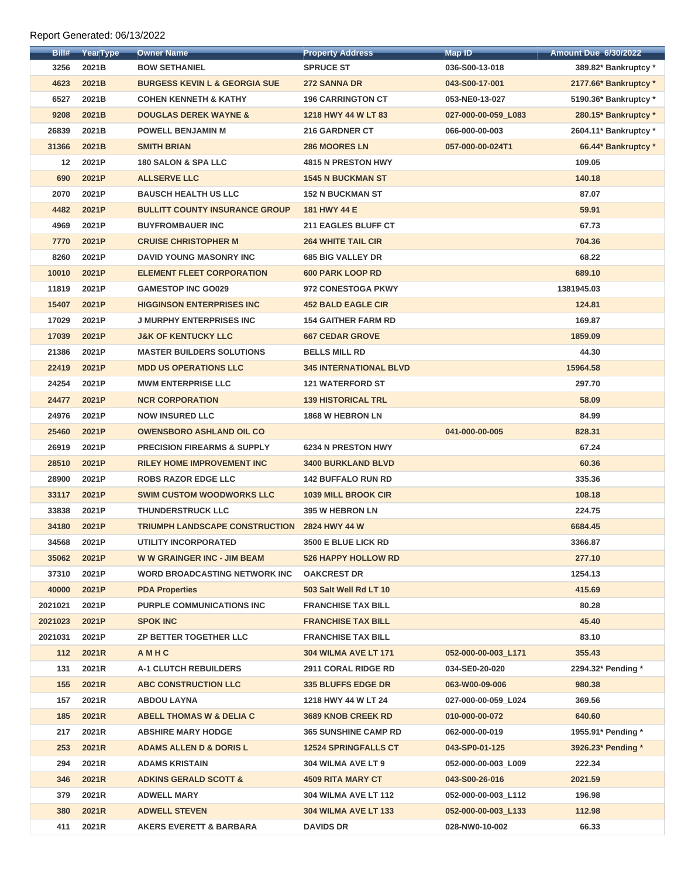## Report Generated: 06/13/2022

| Bill#             | YearType | <b>Owner Name</b>                        | <b>Property Address</b>       | <b>Map ID</b>       | <b>Amount Due 6/30/2022</b> |
|-------------------|----------|------------------------------------------|-------------------------------|---------------------|-----------------------------|
| 3256              | 2021B    | <b>BOW SETHANIEL</b>                     | <b>SPRUCE ST</b>              | 036-S00-13-018      | 389.82* Bankruptcy *        |
| 4623              | 2021B    | <b>BURGESS KEVIN L &amp; GEORGIA SUE</b> | <b>272 SANNA DR</b>           | 043-S00-17-001      | 2177.66* Bankruptcy *       |
| 6527              | 2021B    | <b>COHEN KENNETH &amp; KATHY</b>         | <b>196 CARRINGTON CT</b>      | 053-NE0-13-027      | 5190.36* Bankruptcy *       |
| 9208              | 2021B    | <b>DOUGLAS DEREK WAYNE &amp;</b>         | 1218 HWY 44 W LT 83           | 027-000-00-059_L083 | 280.15* Bankruptcy *        |
| 26839             | 2021B    | <b>POWELL BENJAMIN M</b>                 | <b>216 GARDNER CT</b>         | 066-000-00-003      | 2604.11* Bankruptcy *       |
| 31366             | 2021B    | <b>SMITH BRIAN</b>                       | <b>286 MOORES LN</b>          | 057-000-00-024T1    | 66.44* Bankruptcy *         |
| $12 \overline{ }$ | 2021P    | <b>180 SALON &amp; SPA LLC</b>           | <b>4815 N PRESTON HWY</b>     |                     | 109.05                      |
| 690               | 2021P    | <b>ALLSERVE LLC</b>                      | <b>1545 N BUCKMAN ST</b>      |                     | 140.18                      |
| 2070              | 2021P    | <b>BAUSCH HEALTH US LLC</b>              | <b>152 N BUCKMAN ST</b>       |                     | 87.07                       |
| 4482              | 2021P    | <b>BULLITT COUNTY INSURANCE GROUP</b>    | 181 HWY 44 E                  |                     | 59.91                       |
| 4969              | 2021P    | <b>BUYFROMBAUER INC</b>                  | <b>211 EAGLES BLUFF CT</b>    |                     | 67.73                       |
| 7770              | 2021P    | <b>CRUISE CHRISTOPHER M</b>              | <b>264 WHITE TAIL CIR</b>     |                     | 704.36                      |
| 8260              | 2021P    | DAVID YOUNG MASONRY INC                  | <b>685 BIG VALLEY DR</b>      |                     | 68.22                       |
| 10010             | 2021P    | <b>ELEMENT FLEET CORPORATION</b>         | <b>600 PARK LOOP RD</b>       |                     | 689.10                      |
| 11819             | 2021P    | <b>GAMESTOP INC GO029</b>                | 972 CONESTOGA PKWY            |                     | 1381945.03                  |
| 15407             | 2021P    | <b>HIGGINSON ENTERPRISES INC</b>         | <b>452 BALD EAGLE CIR</b>     |                     | 124.81                      |
| 17029             | 2021P    | <b>J MURPHY ENTERPRISES INC</b>          | <b>154 GAITHER FARM RD</b>    |                     | 169.87                      |
| 17039             | 2021P    | <b>J&amp;K OF KENTUCKY LLC</b>           | <b>667 CEDAR GROVE</b>        |                     | 1859.09                     |
| 21386             | 2021P    | <b>MASTER BUILDERS SOLUTIONS</b>         | <b>BELLS MILL RD</b>          |                     | 44.30                       |
| 22419             | 2021P    | <b>MDD US OPERATIONS LLC</b>             | <b>345 INTERNATIONAL BLVD</b> |                     | 15964.58                    |
| 24254             | 2021P    | <b>MWM ENTERPRISE LLC</b>                | <b>121 WATERFORD ST</b>       |                     | 297.70                      |
| 24477             | 2021P    | <b>NCR CORPORATION</b>                   | <b>139 HISTORICAL TRL</b>     |                     | 58.09                       |
| 24976             | 2021P    | <b>NOW INSURED LLC</b>                   | 1868 W HEBRON LN              |                     | 84.99                       |
| 25460             | 2021P    | <b>OWENSBORO ASHLAND OIL CO</b>          |                               | 041-000-00-005      | 828.31                      |
| 26919             | 2021P    | <b>PRECISION FIREARMS &amp; SUPPLY</b>   | <b>6234 N PRESTON HWY</b>     |                     | 67.24                       |
| 28510             | 2021P    | <b>RILEY HOME IMPROVEMENT INC</b>        | <b>3400 BURKLAND BLVD</b>     |                     | 60.36                       |
| 28900             | 2021P    | <b>ROBS RAZOR EDGE LLC</b>               | <b>142 BUFFALO RUN RD</b>     |                     | 335.36                      |
| 33117             | 2021P    | <b>SWIM CUSTOM WOODWORKS LLC</b>         | <b>1039 MILL BROOK CIR</b>    |                     | 108.18                      |
| 33838             | 2021P    | <b>THUNDERSTRUCK LLC</b>                 | <b>395 W HEBRON LN</b>        |                     | 224.75                      |
| 34180             | 2021P    | <b>TRIUMPH LANDSCAPE CONSTRUCTION</b>    | 2824 HWY 44 W                 |                     | 6684.45                     |
| 34568             | 2021P    | <b>UTILITY INCORPORATED</b>              | 3500 E BLUE LICK RD           |                     | 3366.87                     |
| 35062             | 2021P    | <b>WW GRAINGER INC - JIM BEAM</b>        | <b>526 HAPPY HOLLOW RD</b>    |                     | 277.10                      |
| 37310             | 2021P    | <b>WORD BROADCASTING NETWORK INC.</b>    | <b>OAKCREST DR</b>            |                     | 1254.13                     |
| 40000             | 2021P    | <b>PDA Properties</b>                    | 503 Salt Well Rd LT 10        |                     | 415.69                      |
| 2021021           | 2021P    | <b>PURPLE COMMUNICATIONS INC</b>         | <b>FRANCHISE TAX BILL</b>     |                     | 80.28                       |
| 2021023           | 2021P    | <b>SPOK INC</b>                          | <b>FRANCHISE TAX BILL</b>     |                     | 45.40                       |
| 2021031           | 2021P    | <b>ZP BETTER TOGETHER LLC</b>            | <b>FRANCHISE TAX BILL</b>     |                     | 83.10                       |
| 112               | 2021R    | AMHC                                     | <b>304 WILMA AVE LT 171</b>   | 052-000-00-003_L171 | 355.43                      |
| 131               | 2021R    | <b>A-1 CLUTCH REBUILDERS</b>             | <b>2911 CORAL RIDGE RD</b>    | 034-SE0-20-020      | 2294.32* Pending *          |
| 155               | 2021R    | <b>ABC CONSTRUCTION LLC</b>              | <b>335 BLUFFS EDGE DR</b>     | 063-W00-09-006      | 980.38                      |
| 157               | 2021R    | <b>ABDOU LAYNA</b>                       | 1218 HWY 44 W LT 24           | 027-000-00-059_L024 | 369.56                      |
| 185               | 2021R    | <b>ABELL THOMAS W &amp; DELIA C</b>      | 3689 KNOB CREEK RD            | 010-000-00-072      | 640.60                      |
| 217               | 2021R    | <b>ABSHIRE MARY HODGE</b>                | <b>365 SUNSHINE CAMP RD</b>   | 062-000-00-019      | 1955.91* Pending *          |
| 253               | 2021R    | <b>ADAMS ALLEN D &amp; DORIS L</b>       | <b>12524 SPRINGFALLS CT</b>   | 043-SP0-01-125      | 3926.23* Pending *          |
| 294               | 2021R    | <b>ADAMS KRISTAIN</b>                    | 304 WILMA AVE LT 9            | 052-000-00-003 L009 | 222.34                      |
| 346               | 2021R    | <b>ADKINS GERALD SCOTT &amp;</b>         | <b>4509 RITA MARY CT</b>      | 043-S00-26-016      | 2021.59                     |
| 379               | 2021R    | <b>ADWELL MARY</b>                       | <b>304 WILMA AVE LT 112</b>   | 052-000-00-003_L112 | 196.98                      |
| <b>380</b>        | 2021R    | <b>ADWELL STEVEN</b>                     | <b>304 WILMA AVE LT 133</b>   | 052-000-00-003 L133 | 112.98                      |
| 411               | 2021R    | <b>AKERS EVERETT &amp; BARBARA</b>       | <b>DAVIDS DR</b>              | 028-NW0-10-002      | 66.33                       |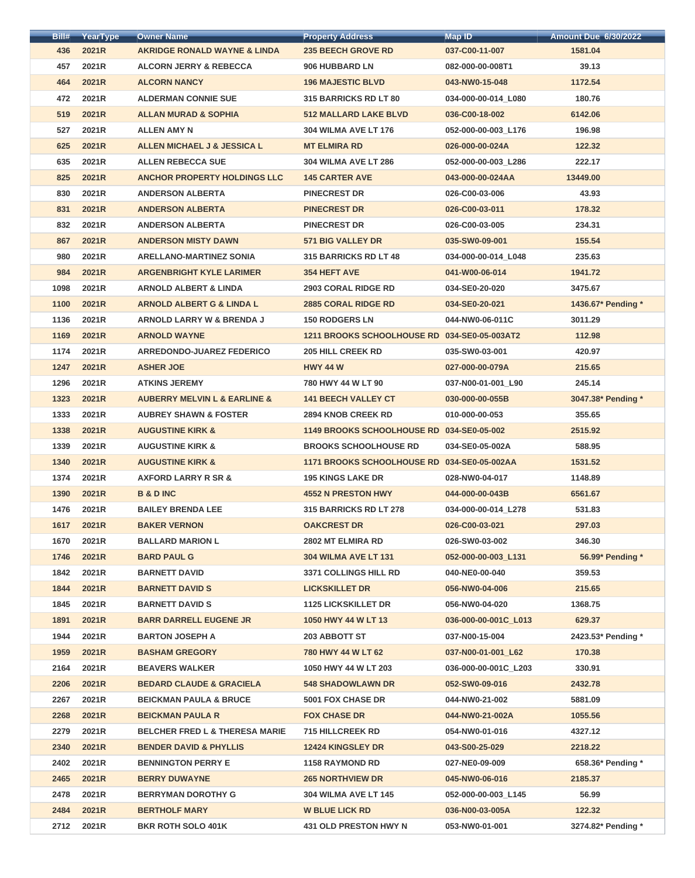| Bill# | YearType | <b>Owner Name</b>                           | <b>Property Address</b>                      | <b>Map ID</b>        | <b>Amount Due 6/30/2022</b> |
|-------|----------|---------------------------------------------|----------------------------------------------|----------------------|-----------------------------|
| 436   | 2021R    | <b>AKRIDGE RONALD WAYNE &amp; LINDA</b>     | <b>235 BEECH GROVE RD</b>                    | 037-C00-11-007       | 1581.04                     |
| 457   | 2021R    | <b>ALCORN JERRY &amp; REBECCA</b>           | 906 HUBBARD LN                               | 082-000-00-008T1     | 39.13                       |
| 464   | 2021R    | <b>ALCORN NANCY</b>                         | <b>196 MAJESTIC BLVD</b>                     | 043-NW0-15-048       | 1172.54                     |
| 472   | 2021R    | <b>ALDERMAN CONNIE SUE</b>                  | <b>315 BARRICKS RD LT 80</b>                 | 034-000-00-014_L080  | 180.76                      |
| 519   | 2021R    | <b>ALLAN MURAD &amp; SOPHIA</b>             | <b>512 MALLARD LAKE BLVD</b>                 | 036-C00-18-002       | 6142.06                     |
| 527   | 2021R    | <b>ALLEN AMY N</b>                          | <b>304 WILMA AVE LT 176</b>                  | 052-000-00-003 L176  | 196.98                      |
| 625   | 2021R    | ALLEN MICHAEL J & JESSICA L                 | <b>MT ELMIRA RD</b>                          | 026-000-00-024A      | 122.32                      |
| 635   | 2021R    | <b>ALLEN REBECCA SUE</b>                    | <b>304 WILMA AVE LT 286</b>                  | 052-000-00-003_L286  | 222.17                      |
| 825   | 2021R    | <b>ANCHOR PROPERTY HOLDINGS LLC</b>         | <b>145 CARTER AVE</b>                        | 043-000-00-024AA     | 13449.00                    |
| 830   | 2021R    | <b>ANDERSON ALBERTA</b>                     | <b>PINECREST DR</b>                          | 026-C00-03-006       | 43.93                       |
| 831   | 2021R    | <b>ANDERSON ALBERTA</b>                     | <b>PINECREST DR</b>                          | 026-C00-03-011       | 178.32                      |
| 832   | 2021R    | <b>ANDERSON ALBERTA</b>                     | <b>PINECREST DR</b>                          | 026-C00-03-005       | 234.31                      |
| 867   | 2021R    | <b>ANDERSON MISTY DAWN</b>                  | <b>571 BIG VALLEY DR</b>                     | 035-SW0-09-001       | 155.54                      |
| 980   | 2021R    | <b>ARELLANO-MARTINEZ SONIA</b>              | <b>315 BARRICKS RD LT 48</b>                 | 034-000-00-014_L048  | 235.63                      |
| 984   | 2021R    | <b>ARGENBRIGHT KYLE LARIMER</b>             | <b>354 HEFT AVE</b>                          | 041-W00-06-014       | 1941.72                     |
| 1098  | 2021R    | <b>ARNOLD ALBERT &amp; LINDA</b>            | <b>2903 CORAL RIDGE RD</b>                   | 034-SE0-20-020       | 3475.67                     |
| 1100  | 2021R    | <b>ARNOLD ALBERT G &amp; LINDA L</b>        | <b>2885 CORAL RIDGE RD</b>                   | 034-SE0-20-021       | 1436.67* Pending *          |
| 1136  | 2021R    | <b>ARNOLD LARRY W &amp; BRENDA J</b>        | <b>150 RODGERS LN</b>                        | 044-NW0-06-011C      | 3011.29                     |
| 1169  | 2021R    | <b>ARNOLD WAYNE</b>                         | 1211 BROOKS SCHOOLHOUSE RD 034-SE0-05-003AT2 |                      | 112.98                      |
| 1174  | 2021R    | <b>ARREDONDO-JUAREZ FEDERICO</b>            | <b>205 HILL CREEK RD</b>                     | 035-SW0-03-001       | 420.97                      |
| 1247  | 2021R    | <b>ASHER JOE</b>                            | <b>HWY 44 W</b>                              | 027-000-00-079A      | 215.65                      |
| 1296  | 2021R    | <b>ATKINS JEREMY</b>                        | 780 HWY 44 W LT 90                           | 037-N00-01-001_L90   | 245.14                      |
| 1323  | 2021R    | <b>AUBERRY MELVIN L &amp; EARLINE &amp;</b> | <b>141 BEECH VALLEY CT</b>                   | 030-000-00-055B      | 3047.38* Pending *          |
| 1333  | 2021R    | <b>AUBREY SHAWN &amp; FOSTER</b>            | <b>2894 KNOB CREEK RD</b>                    | 010-000-00-053       | 355.65                      |
| 1338  | 2021R    | <b>AUGUSTINE KIRK &amp;</b>                 | 1149 BROOKS SCHOOLHOUSE RD 034-SE0-05-002    |                      | 2515.92                     |
| 1339  | 2021R    | <b>AUGUSTINE KIRK &amp;</b>                 | <b>BROOKS SCHOOLHOUSE RD</b>                 | 034-SE0-05-002A      | 588.95                      |
| 1340  | 2021R    | <b>AUGUSTINE KIRK &amp;</b>                 | 1171 BROOKS SCHOOLHOUSE RD 034-SE0-05-002AA  |                      | 1531.52                     |
| 1374  | 2021R    | <b>AXFORD LARRY R SR &amp;</b>              | <b>195 KINGS LAKE DR</b>                     | 028-NW0-04-017       | 1148.89                     |
| 1390  | 2021R    | <b>B &amp; D INC</b>                        | <b>4552 N PRESTON HWY</b>                    | 044-000-00-043B      | 6561.67                     |
| 1476  | 2021R    | <b>BAILEY BRENDA LEE</b>                    | 315 BARRICKS RD LT 278                       | 034-000-00-014_L278  | 531.83                      |
| 1617  | 2021R    | <b>BAKER VERNON</b>                         | <b>OAKCREST DR</b>                           | 026-C00-03-021       | 297.03                      |
| 1670  | 2021R    | <b>BALLARD MARION L</b>                     | 2802 MT ELMIRA RD                            | 026-SW0-03-002       | 346.30                      |
| 1746  | 2021R    | <b>BARD PAUL G</b>                          | <b>304 WILMA AVE LT 131</b>                  | 052-000-00-003_L131  | 56.99* Pending *            |
| 1842  | 2021R    | <b>BARNETT DAVID</b>                        | <b>3371 COLLINGS HILL RD</b>                 | 040-NE0-00-040       | 359.53                      |
| 1844  | 2021R    | <b>BARNETT DAVID S</b>                      | <b>LICKSKILLET DR</b>                        | 056-NW0-04-006       | 215.65                      |
| 1845  | 2021R    | <b>BARNETT DAVID S</b>                      | <b>1125 LICKSKILLET DR</b>                   | 056-NW0-04-020       | 1368.75                     |
| 1891  | 2021R    | <b>BARR DARRELL EUGENE JR</b>               | 1050 HWY 44 W LT 13                          | 036-000-00-001C_L013 | 629.37                      |
| 1944  | 2021R    | <b>BARTON JOSEPH A</b>                      | 203 ABBOTT ST                                | 037-N00-15-004       | 2423.53* Pending *          |
| 1959  | 2021R    | <b>BASHAM GREGORY</b>                       | 780 HWY 44 W LT 62                           | 037-N00-01-001 L62   | 170.38                      |
| 2164  | 2021R    | <b>BEAVERS WALKER</b>                       | 1050 HWY 44 W LT 203                         | 036-000-00-001C_L203 | 330.91                      |
| 2206  | 2021R    | <b>BEDARD CLAUDE &amp; GRACIELA</b>         | <b>548 SHADOWLAWN DR</b>                     | 052-SW0-09-016       | 2432.78                     |
| 2267  | 2021R    | <b>BEICKMAN PAULA &amp; BRUCE</b>           | <b>5001 FOX CHASE DR</b>                     | 044-NW0-21-002       | 5881.09                     |
| 2268  | 2021R    | <b>BEICKMAN PAULA R</b>                     | <b>FOX CHASE DR</b>                          | 044-NW0-21-002A      | 1055.56                     |
| 2279  | 2021R    | <b>BELCHER FRED L &amp; THERESA MARIE</b>   | <b>715 HILLCREEK RD</b>                      | 054-NW0-01-016       | 4327.12                     |
| 2340  | 2021R    | <b>BENDER DAVID &amp; PHYLLIS</b>           | 12424 KINGSLEY DR                            | 043-S00-25-029       | 2218.22                     |
| 2402  | 2021R    | <b>BENNINGTON PERRY E</b>                   | <b>1158 RAYMOND RD</b>                       | 027-NE0-09-009       | 658.36* Pending *           |
| 2465  | 2021R    | <b>BERRY DUWAYNE</b>                        | <b>265 NORTHVIEW DR</b>                      | 045-NW0-06-016       | 2185.37                     |
| 2478  | 2021R    | <b>BERRYMAN DOROTHY G</b>                   | <b>304 WILMA AVE LT 145</b>                  | 052-000-00-003_L145  | 56.99                       |
| 2484  | 2021R    | <b>BERTHOLF MARY</b>                        | <b>W BLUE LICK RD</b>                        | 036-N00-03-005A      | 122.32                      |
| 2712  | 2021R    | <b>BKR ROTH SOLO 401K</b>                   | <b>431 OLD PRESTON HWY N</b>                 | 053-NW0-01-001       | 3274.82* Pending *          |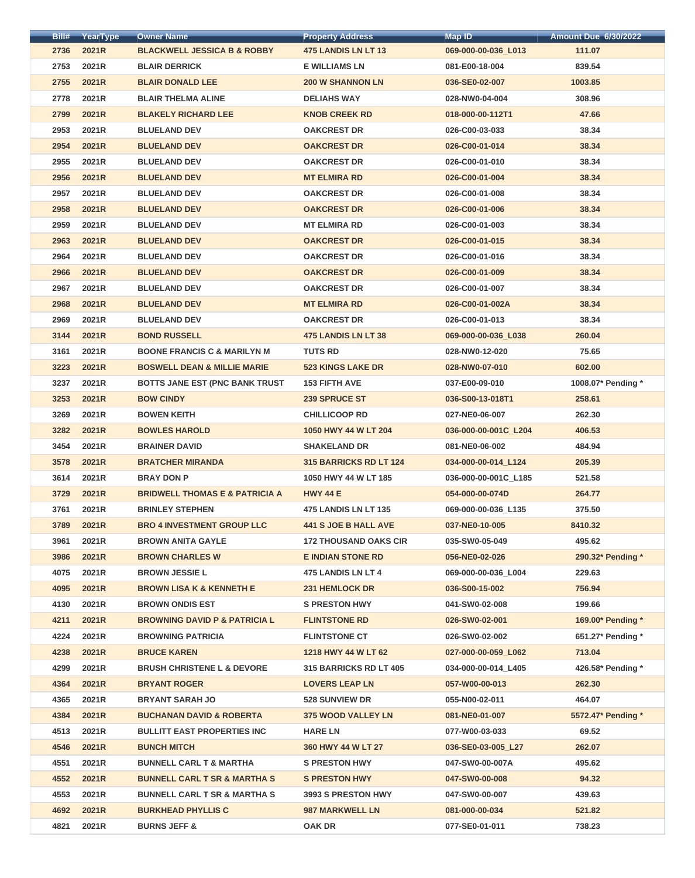| Bill# | YearType | <b>Owner Name</b>                         | <b>Property Address</b>       | Map ID               | <b>Amount Due 6/30/2022</b> |
|-------|----------|-------------------------------------------|-------------------------------|----------------------|-----------------------------|
| 2736  | 2021R    | <b>BLACKWELL JESSICA B &amp; ROBBY</b>    | <b>475 LANDIS LN LT 13</b>    | 069-000-00-036_L013  | 111.07                      |
| 2753  | 2021R    | <b>BLAIR DERRICK</b>                      | <b>E WILLIAMS LN</b>          | 081-E00-18-004       | 839.54                      |
| 2755  | 2021R    | <b>BLAIR DONALD LEE</b>                   | <b>200 W SHANNON LN</b>       | 036-SE0-02-007       | 1003.85                     |
| 2778  | 2021R    | <b>BLAIR THELMA ALINE</b>                 | <b>DELIAHS WAY</b>            | 028-NW0-04-004       | 308.96                      |
| 2799  | 2021R    | <b>BLAKELY RICHARD LEE</b>                | <b>KNOB CREEK RD</b>          | 018-000-00-112T1     | 47.66                       |
| 2953  | 2021R    | <b>BLUELAND DEV</b>                       | <b>OAKCREST DR</b>            | 026-C00-03-033       | 38.34                       |
| 2954  | 2021R    | <b>BLUELAND DEV</b>                       | <b>OAKCREST DR</b>            | 026-C00-01-014       | 38.34                       |
| 2955  | 2021R    | <b>BLUELAND DEV</b>                       | <b>OAKCREST DR</b>            | 026-C00-01-010       | 38.34                       |
| 2956  | 2021R    | <b>BLUELAND DEV</b>                       | <b>MT ELMIRA RD</b>           | 026-C00-01-004       | 38.34                       |
| 2957  | 2021R    | <b>BLUELAND DEV</b>                       | <b>OAKCREST DR</b>            | 026-C00-01-008       | 38.34                       |
| 2958  | 2021R    | <b>BLUELAND DEV</b>                       | <b>OAKCREST DR</b>            | 026-C00-01-006       | 38.34                       |
| 2959  | 2021R    | <b>BLUELAND DEV</b>                       | <b>MT ELMIRA RD</b>           | 026-C00-01-003       | 38.34                       |
| 2963  | 2021R    | <b>BLUELAND DEV</b>                       | <b>OAKCREST DR</b>            | 026-C00-01-015       | 38.34                       |
| 2964  | 2021R    | <b>BLUELAND DEV</b>                       | <b>OAKCREST DR</b>            | 026-C00-01-016       | 38.34                       |
| 2966  | 2021R    | <b>BLUELAND DEV</b>                       | <b>OAKCREST DR</b>            | 026-C00-01-009       | 38.34                       |
| 2967  | 2021R    | <b>BLUELAND DEV</b>                       | <b>OAKCREST DR</b>            | 026-C00-01-007       | 38.34                       |
| 2968  | 2021R    | <b>BLUELAND DEV</b>                       | <b>MT ELMIRA RD</b>           | 026-C00-01-002A      | 38.34                       |
| 2969  | 2021R    | <b>BLUELAND DEV</b>                       | <b>OAKCREST DR</b>            | 026-C00-01-013       | 38.34                       |
| 3144  | 2021R    | <b>BOND RUSSELL</b>                       | <b>475 LANDIS LN LT 38</b>    | 069-000-00-036_L038  | 260.04                      |
| 3161  | 2021R    | <b>BOONE FRANCIS C &amp; MARILYN M</b>    | <b>TUTS RD</b>                | 028-NW0-12-020       | 75.65                       |
| 3223  | 2021R    | <b>BOSWELL DEAN &amp; MILLIE MARIE</b>    | <b>523 KINGS LAKE DR</b>      | 028-NW0-07-010       | 602.00                      |
| 3237  | 2021R    | <b>BOTTS JANE EST (PNC BANK TRUST)</b>    | <b>153 FIFTH AVE</b>          | 037-E00-09-010       | 1008.07* Pending *          |
| 3253  | 2021R    | <b>BOW CINDY</b>                          | 239 SPRUCE ST                 | 036-S00-13-018T1     | 258.61                      |
| 3269  | 2021R    | <b>BOWEN KEITH</b>                        | <b>CHILLICOOP RD</b>          | 027-NE0-06-007       | 262.30                      |
| 3282  | 2021R    | <b>BOWLES HAROLD</b>                      | 1050 HWY 44 W LT 204          | 036-000-00-001C_L204 | 406.53                      |
| 3454  | 2021R    | <b>BRAINER DAVID</b>                      | <b>SHAKELAND DR</b>           | 081-NE0-06-002       | 484.94                      |
| 3578  | 2021R    | <b>BRATCHER MIRANDA</b>                   | <b>315 BARRICKS RD LT 124</b> | 034-000-00-014 L124  | 205.39                      |
| 3614  | 2021R    | <b>BRAY DON P</b>                         | 1050 HWY 44 W LT 185          | 036-000-00-001C_L185 | 521.58                      |
| 3729  | 2021R    | <b>BRIDWELL THOMAS E &amp; PATRICIA A</b> | <b>HWY 44 E</b>               | 054-000-00-074D      | 264.77                      |
| 3761  | 2021R    | <b>BRINLEY STEPHEN</b>                    | <b>475 LANDIS LN LT 135</b>   | 069-000-00-036 L135  | 375.50                      |
| 3789  | 2021R    | <b>BRO 4 INVESTMENT GROUP LLC</b>         | <b>441 S JOE B HALL AVE</b>   | 037-NE0-10-005       | 8410.32                     |
| 3961  | 2021R    | <b>BROWN ANITA GAYLE</b>                  | <b>172 THOUSAND OAKS CIR</b>  | 035-SW0-05-049       | 495.62                      |
| 3986  | 2021R    | <b>BROWN CHARLES W</b>                    | <b>E INDIAN STONE RD</b>      | 056-NE0-02-026       | 290.32* Pending *           |
| 4075  | 2021R    | <b>BROWN JESSIE L</b>                     | 475 LANDIS LN LT 4            | 069-000-00-036_L004  | 229.63                      |
| 4095  | 2021R    | <b>BROWN LISA K &amp; KENNETH E</b>       | 231 HEMLOCK DR                | 036-S00-15-002       | 756.94                      |
| 4130  | 2021R    | <b>BROWN ONDIS EST</b>                    | <b>S PRESTON HWY</b>          | 041-SW0-02-008       | 199.66                      |
| 4211  | 2021R    | <b>BROWNING DAVID P &amp; PATRICIA L</b>  | <b>FLINTSTONE RD</b>          | 026-SW0-02-001       | 169.00* Pending *           |
| 4224  | 2021R    | <b>BROWNING PATRICIA</b>                  | <b>FLINTSTONE CT</b>          | 026-SW0-02-002       | 651.27* Pending *           |
| 4238  | 2021R    | <b>BRUCE KAREN</b>                        | 1218 HWY 44 W LT 62           | 027-000-00-059_L062  | 713.04                      |
| 4299  | 2021R    | <b>BRUSH CHRISTENE L &amp; DEVORE</b>     | <b>315 BARRICKS RD LT 405</b> | 034-000-00-014_L405  | 426.58* Pending *           |
| 4364  | 2021R    | <b>BRYANT ROGER</b>                       | <b>LOVERS LEAP LN</b>         | 057-W00-00-013       | 262.30                      |
| 4365  | 2021R    | <b>BRYANT SARAH JO</b>                    | <b>528 SUNVIEW DR</b>         | 055-N00-02-011       | 464.07                      |
| 4384  | 2021R    | <b>BUCHANAN DAVID &amp; ROBERTA</b>       | <b>375 WOOD VALLEY LN</b>     | 081-NE0-01-007       | 5572.47* Pending *          |
| 4513  | 2021R    | <b>BULLITT EAST PROPERTIES INC</b>        | <b>HARE LN</b>                | 077-W00-03-033       | 69.52                       |
| 4546  | 2021R    | <b>BUNCH MITCH</b>                        | 360 HWY 44 W LT 27            | 036-SE0-03-005 L27   | 262.07                      |
| 4551  | 2021R    | <b>BUNNELL CARL T &amp; MARTHA</b>        | <b>S PRESTON HWY</b>          | 047-SW0-00-007A      | 495.62                      |
| 4552  | 2021R    | <b>BUNNELL CARL T SR &amp; MARTHA S</b>   | <b>S PRESTON HWY</b>          | 047-SW0-00-008       | 94.32                       |
| 4553  | 2021R    | <b>BUNNELL CARL T SR &amp; MARTHA S</b>   | 3993 S PRESTON HWY            | 047-SW0-00-007       | 439.63                      |
| 4692  | 2021R    | <b>BURKHEAD PHYLLIS C</b>                 | <b>987 MARKWELL LN</b>        | 081-000-00-034       | 521.82                      |
| 4821  | 2021R    | <b>BURNS JEFF &amp;</b>                   | <b>OAK DR</b>                 | 077-SE0-01-011       | 738.23                      |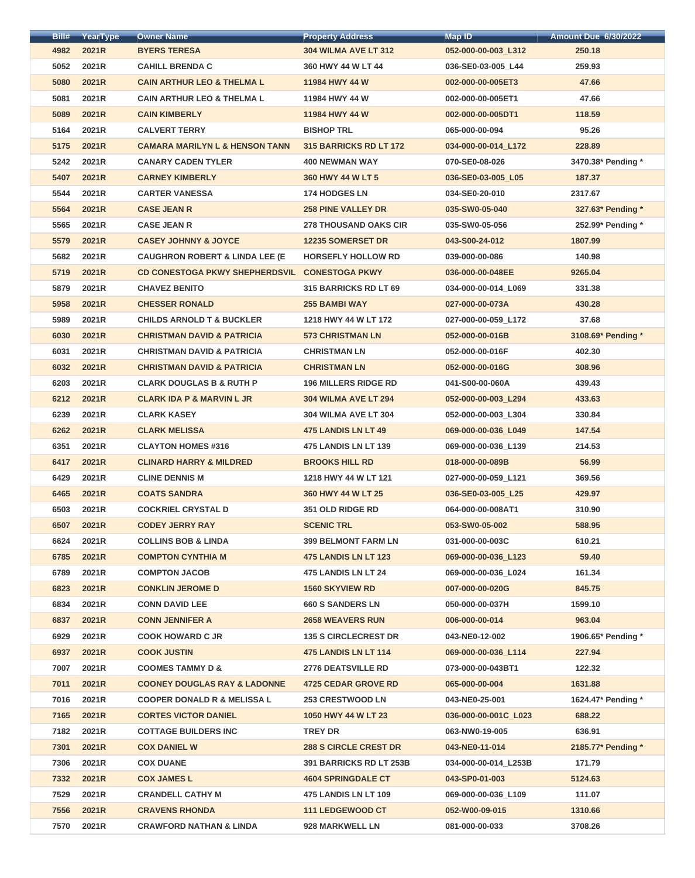| Bill# | YearType | <b>Owner Name</b>                         | <b>Property Address</b>       | <b>Map ID</b>        | <b>Amount Due 6/30/2022</b> |
|-------|----------|-------------------------------------------|-------------------------------|----------------------|-----------------------------|
| 4982  | 2021R    | <b>BYERS TERESA</b>                       | <b>304 WILMA AVE LT 312</b>   | 052-000-00-003_L312  | 250.18                      |
| 5052  | 2021R    | <b>CAHILL BRENDA C</b>                    | 360 HWY 44 W LT 44            | 036-SE0-03-005_L44   | 259.93                      |
| 5080  | 2021R    | <b>CAIN ARTHUR LEO &amp; THELMA L</b>     | 11984 HWY 44 W                | 002-000-00-005ET3    | 47.66                       |
| 5081  | 2021R    | <b>CAIN ARTHUR LEO &amp; THELMA L</b>     | 11984 HWY 44 W                | 002-000-00-005ET1    | 47.66                       |
| 5089  | 2021R    | <b>CAIN KIMBERLY</b>                      | 11984 HWY 44 W                | 002-000-00-005DT1    | 118.59                      |
| 5164  | 2021R    | <b>CALVERT TERRY</b>                      | <b>BISHOP TRL</b>             | 065-000-00-094       | 95.26                       |
| 5175  | 2021R    | <b>CAMARA MARILYN L &amp; HENSON TANN</b> | <b>315 BARRICKS RD LT 172</b> | 034-000-00-014 L172  | 228.89                      |
| 5242  | 2021R    | <b>CANARY CADEN TYLER</b>                 | <b>400 NEWMAN WAY</b>         | 070-SE0-08-026       | 3470.38* Pending *          |
| 5407  | 2021R    | <b>CARNEY KIMBERLY</b>                    | 360 HWY 44 W LT 5             | 036-SE0-03-005_L05   | 187.37                      |
| 5544  | 2021R    | <b>CARTER VANESSA</b>                     | <b>174 HODGES LN</b>          | 034-SE0-20-010       | 2317.67                     |
| 5564  | 2021R    | <b>CASE JEAN R</b>                        | <b>258 PINE VALLEY DR</b>     | 035-SW0-05-040       | 327.63* Pending *           |
| 5565  | 2021R    | <b>CASE JEAN R</b>                        | <b>278 THOUSAND OAKS CIR</b>  | 035-SW0-05-056       | 252.99* Pending *           |
| 5579  | 2021R    | <b>CASEY JOHNNY &amp; JOYCE</b>           | <b>12235 SOMERSET DR</b>      | 043-S00-24-012       | 1807.99                     |
| 5682  | 2021R    | <b>CAUGHRON ROBERT &amp; LINDA LEE (E</b> | <b>HORSEFLY HOLLOW RD</b>     | 039-000-00-086       | 140.98                      |
| 5719  | 2021R    | <b>CD CONESTOGA PKWY SHEPHERDSVIL</b>     | <b>CONESTOGA PKWY</b>         | 036-000-00-048EE     | 9265.04                     |
| 5879  | 2021R    | <b>CHAVEZ BENITO</b>                      | <b>315 BARRICKS RD LT 69</b>  | 034-000-00-014_L069  | 331.38                      |
| 5958  | 2021R    | <b>CHESSER RONALD</b>                     | <b>255 BAMBI WAY</b>          | 027-000-00-073A      | 430.28                      |
| 5989  | 2021R    | <b>CHILDS ARNOLD T &amp; BUCKLER</b>      | 1218 HWY 44 W LT 172          | 027-000-00-059 L172  | 37.68                       |
| 6030  | 2021R    | <b>CHRISTMAN DAVID &amp; PATRICIA</b>     | <b>573 CHRISTMAN LN</b>       | 052-000-00-016B      | 3108.69* Pending *          |
| 6031  | 2021R    | <b>CHRISTMAN DAVID &amp; PATRICIA</b>     | <b>CHRISTMAN LN</b>           | 052-000-00-016F      | 402.30                      |
| 6032  | 2021R    | <b>CHRISTMAN DAVID &amp; PATRICIA</b>     | <b>CHRISTMAN LN</b>           | 052-000-00-016G      | 308.96                      |
| 6203  | 2021R    | <b>CLARK DOUGLAS B &amp; RUTH P</b>       | <b>196 MILLERS RIDGE RD</b>   | 041-S00-00-060A      | 439.43                      |
| 6212  | 2021R    | <b>CLARK IDA P &amp; MARVIN L JR</b>      | <b>304 WILMA AVE LT 294</b>   | 052-000-00-003 L294  | 433.63                      |
| 6239  | 2021R    | <b>CLARK KASEY</b>                        | <b>304 WILMA AVE LT 304</b>   | 052-000-00-003 L304  | 330.84                      |
| 6262  | 2021R    | <b>CLARK MELISSA</b>                      | 475 LANDIS LN LT 49           | 069-000-00-036_L049  | 147.54                      |
| 6351  | 2021R    | <b>CLAYTON HOMES #316</b>                 | <b>475 LANDIS LN LT 139</b>   | 069-000-00-036 L139  | 214.53                      |
| 6417  | 2021R    | <b>CLINARD HARRY &amp; MILDRED</b>        | <b>BROOKS HILL RD</b>         | 018-000-00-089B      | 56.99                       |
| 6429  | 2021R    | <b>CLINE DENNIS M</b>                     | 1218 HWY 44 W LT 121          | 027-000-00-059_L121  | 369.56                      |
| 6465  | 2021R    | <b>COATS SANDRA</b>                       | 360 HWY 44 W LT 25            | 036-SE0-03-005 L25   |                             |
|       |          |                                           |                               |                      | 429.97                      |
| 6503  | 2021R    | <b>COCKRIEL CRYSTAL D</b>                 | <b>351 OLD RIDGE RD</b>       | 064-000-00-008AT1    | 310.90                      |
| 6507  | 2021R    | <b>CODEY JERRY RAY</b>                    | <b>SCENIC TRL</b>             | 053-SW0-05-002       | 588.95                      |
| 6624  | 2021R    | <b>COLLINS BOB &amp; LINDA</b>            | <b>399 BELMONT FARM LN</b>    | 031-000-00-003C      | 610.21                      |
| 6785  | 2021R    | <b>COMPTON CYNTHIA M</b>                  | <b>475 LANDIS LN LT 123</b>   | 069-000-00-036_L123  | 59.40                       |
| 6789  | 2021R    | <b>COMPTON JACOB</b>                      | 475 LANDIS LN LT 24           | 069-000-00-036_L024  | 161.34                      |
| 6823  | 2021R    | <b>CONKLIN JEROME D</b>                   | <b>1560 SKYVIEW RD</b>        | 007-000-00-020G      | 845.75                      |
| 6834  | 2021R    | <b>CONN DAVID LEE</b>                     | <b>660 S SANDERS LN</b>       | 050-000-00-037H      | 1599.10                     |
| 6837  | 2021R    | <b>CONN JENNIFER A</b>                    | <b>2658 WEAVERS RUN</b>       | 006-000-00-014       | 963.04                      |
| 6929  | 2021R    | <b>COOK HOWARD C JR</b>                   | <b>135 S CIRCLECREST DR</b>   | 043-NE0-12-002       | 1906.65* Pending *          |
| 6937  | 2021R    | <b>COOK JUSTIN</b>                        | 475 LANDIS LN LT 114          | 069-000-00-036_L114  | 227.94                      |
| 7007  | 2021R    | <b>COOMES TAMMY D &amp;</b>               | <b>2776 DEATSVILLE RD</b>     | 073-000-00-043BT1    | 122.32                      |
| 7011  | 2021R    | <b>COONEY DOUGLAS RAY &amp; LADONNE</b>   | <b>4725 CEDAR GROVE RD</b>    | 065-000-00-004       | 1631.88                     |
| 7016  | 2021R    | <b>COOPER DONALD R &amp; MELISSA L</b>    | <b>253 CRESTWOOD LN</b>       | 043-NE0-25-001       | 1624.47* Pending *          |
| 7165  | 2021R    | <b>CORTES VICTOR DANIEL</b>               | 1050 HWY 44 W LT 23           | 036-000-00-001C L023 | 688.22                      |
| 7182  | 2021R    | <b>COTTAGE BUILDERS INC</b>               | <b>TREY DR</b>                | 063-NW0-19-005       | 636.91                      |
| 7301  | 2021R    | <b>COX DANIEL W</b>                       | <b>288 S CIRCLE CREST DR</b>  | 043-NE0-11-014       | 2185.77* Pending *          |
| 7306  | 2021R    | <b>COX DUANE</b>                          | 391 BARRICKS RD LT 253B       | 034-000-00-014_L253B | 171.79                      |
| 7332  | 2021R    | <b>COX JAMES L</b>                        | <b>4604 SPRINGDALE CT</b>     | 043-SP0-01-003       | 5124.63                     |
| 7529  | 2021R    | <b>CRANDELL CATHY M</b>                   | <b>475 LANDIS LN LT 109</b>   | 069-000-00-036 L109  | 111.07                      |
| 7556  | 2021R    | <b>CRAVENS RHONDA</b>                     | <b>111 LEDGEWOOD CT</b>       | 052-W00-09-015       | 1310.66                     |
| 7570  | 2021R    | <b>CRAWFORD NATHAN &amp; LINDA</b>        | 928 MARKWELL LN               | 081-000-00-033       | 3708.26                     |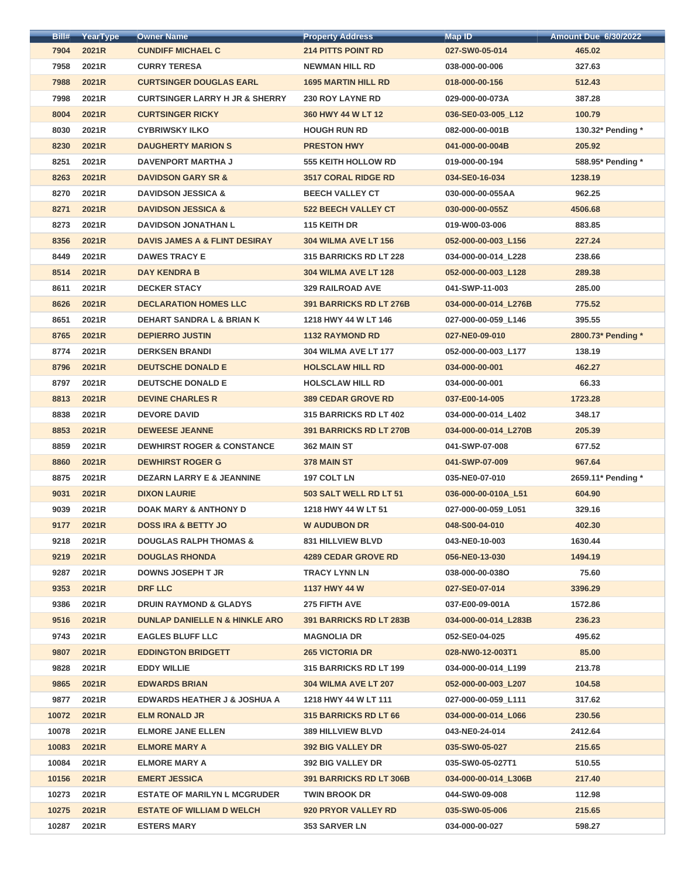| Bill# | YearType | <b>Owner Name</b>                         | <b>Property Address</b>        | <b>Map ID</b>        | <b>Amount Due 6/30/2022</b> |
|-------|----------|-------------------------------------------|--------------------------------|----------------------|-----------------------------|
| 7904  | 2021R    | <b>CUNDIFF MICHAEL C</b>                  | <b>214 PITTS POINT RD</b>      | 027-SW0-05-014       | 465.02                      |
| 7958  | 2021R    | <b>CURRY TERESA</b>                       | <b>NEWMAN HILL RD</b>          | 038-000-00-006       | 327.63                      |
| 7988  | 2021R    | <b>CURTSINGER DOUGLAS EARL</b>            | <b>1695 MARTIN HILL RD</b>     | 018-000-00-156       | 512.43                      |
| 7998  | 2021R    | <b>CURTSINGER LARRY H JR &amp; SHERRY</b> | <b>230 ROY LAYNE RD</b>        | 029-000-00-073A      | 387.28                      |
| 8004  | 2021R    | <b>CURTSINGER RICKY</b>                   | 360 HWY 44 W LT 12             | 036-SE0-03-005_L12   | 100.79                      |
| 8030  | 2021R    | <b>CYBRIWSKY ILKO</b>                     | <b>HOUGH RUN RD</b>            | 082-000-00-001B      | 130.32* Pending *           |
| 8230  | 2021R    | <b>DAUGHERTY MARION S</b>                 | <b>PRESTON HWY</b>             | 041-000-00-004B      | 205.92                      |
| 8251  | 2021R    | <b>DAVENPORT MARTHA J</b>                 | <b>555 KEITH HOLLOW RD</b>     | 019-000-00-194       | 588.95* Pending *           |
| 8263  | 2021R    | <b>DAVIDSON GARY SR &amp;</b>             | <b>3517 CORAL RIDGE RD</b>     | 034-SE0-16-034       | 1238.19                     |
| 8270  | 2021R    | <b>DAVIDSON JESSICA &amp;</b>             | <b>BEECH VALLEY CT</b>         | 030-000-00-055AA     | 962.25                      |
| 8271  | 2021R    | <b>DAVIDSON JESSICA &amp;</b>             | <b>522 BEECH VALLEY CT</b>     | 030-000-00-055Z      | 4506.68                     |
| 8273  | 2021R    | <b>DAVIDSON JONATHAN L</b>                | 115 KEITH DR                   | 019-W00-03-006       | 883.85                      |
| 8356  | 2021R    | <b>DAVIS JAMES A &amp; FLINT DESIRAY</b>  | <b>304 WILMA AVE LT 156</b>    | 052-000-00-003_L156  | 227.24                      |
| 8449  | 2021R    | <b>DAWES TRACY E</b>                      | 315 BARRICKS RD LT 228         | 034-000-00-014_L228  | 238.66                      |
| 8514  | 2021R    | <b>DAY KENDRA B</b>                       | <b>304 WILMA AVE LT 128</b>    | 052-000-00-003_L128  | 289.38                      |
| 8611  | 2021R    | <b>DECKER STACY</b>                       | <b>329 RAILROAD AVE</b>        | 041-SWP-11-003       | 285.00                      |
| 8626  | 2021R    | <b>DECLARATION HOMES LLC</b>              | 391 BARRICKS RD LT 276B        | 034-000-00-014_L276B | 775.52                      |
| 8651  | 2021R    | <b>DEHART SANDRA L &amp; BRIAN K</b>      | 1218 HWY 44 W LT 146           | 027-000-00-059 L146  | 395.55                      |
| 8765  | 2021R    | <b>DEPIERRO JUSTIN</b>                    | <b>1132 RAYMOND RD</b>         | 027-NE0-09-010       | 2800.73* Pending *          |
| 8774  | 2021R    | <b>DERKSEN BRANDI</b>                     | <b>304 WILMA AVE LT 177</b>    | 052-000-00-003_L177  | 138.19                      |
| 8796  | 2021R    | <b>DEUTSCHE DONALD E</b>                  | <b>HOLSCLAW HILL RD</b>        | 034-000-00-001       | 462.27                      |
| 8797  | 2021R    | <b>DEUTSCHE DONALD E</b>                  | <b>HOLSCLAW HILL RD</b>        | 034-000-00-001       | 66.33                       |
| 8813  | 2021R    | <b>DEVINE CHARLES R</b>                   | <b>389 CEDAR GROVE RD</b>      | 037-E00-14-005       | 1723.28                     |
| 8838  | 2021R    | <b>DEVORE DAVID</b>                       | <b>315 BARRICKS RD LT 402</b>  | 034-000-00-014 L402  | 348.17                      |
| 8853  | 2021R    | <b>DEWEESE JEANNE</b>                     | <b>391 BARRICKS RD LT 270B</b> | 034-000-00-014 L270B | 205.39                      |
| 8859  | 2021R    | <b>DEWHIRST ROGER &amp; CONSTANCE</b>     | 362 MAIN ST                    | 041-SWP-07-008       | 677.52                      |
| 8860  | 2021R    | <b>DEWHIRST ROGER G</b>                   | 378 MAIN ST                    | 041-SWP-07-009       | 967.64                      |
| 8875  | 2021R    | <b>DEZARN LARRY E &amp; JEANNINE</b>      | 197 COLT LN                    | 035-NE0-07-010       | 2659.11* Pending *          |
| 9031  | 2021R    | <b>DIXON LAURIE</b>                       | 503 SALT WELL RD LT 51         | 036-000-00-010A L51  | 604.90                      |
| 9039  | 2021R    | <b>DOAK MARY &amp; ANTHONY D</b>          | 1218 HWY 44 W LT 51            | 027-000-00-059_L051  | 329.16                      |
| 9177  | 2021R    | <b>DOSS IRA &amp; BETTY JO</b>            | <b>W AUDUBON DR</b>            | 048-S00-04-010       | 402.30                      |
| 9218  | 2021R    | <b>DOUGLAS RALPH THOMAS &amp;</b>         | <b>831 HILLVIEW BLVD</b>       | 043-NE0-10-003       | 1630.44                     |
| 9219  | 2021R    | <b>DOUGLAS RHONDA</b>                     | <b>4289 CEDAR GROVE RD</b>     | 056-NE0-13-030       | 1494.19                     |
| 9287  | 2021R    | <b>DOWNS JOSEPH T JR</b>                  | <b>TRACY LYNN LN</b>           | 038-000-00-0380      | 75.60                       |
| 9353  | 2021R    | <b>DRF LLC</b>                            | 1137 HWY 44 W                  | 027-SE0-07-014       | 3396.29                     |
| 9386  | 2021R    | <b>DRUIN RAYMOND &amp; GLADYS</b>         | 275 FIFTH AVE                  | 037-E00-09-001A      | 1572.86                     |
| 9516  | 2021R    | <b>DUNLAP DANIELLE N &amp; HINKLE ARO</b> | 391 BARRICKS RD LT 283B        | 034-000-00-014_L283B | 236.23                      |
| 9743  | 2021R    | <b>EAGLES BLUFF LLC</b>                   | <b>MAGNOLIA DR</b>             | 052-SE0-04-025       | 495.62                      |
| 9807  | 2021R    | <b>EDDINGTON BRIDGETT</b>                 | <b>265 VICTORIA DR</b>         | 028-NW0-12-003T1     | 85.00                       |
| 9828  | 2021R    | <b>EDDY WILLIE</b>                        | <b>315 BARRICKS RD LT 199</b>  | 034-000-00-014_L199  | 213.78                      |
| 9865  | 2021R    | <b>EDWARDS BRIAN</b>                      | <b>304 WILMA AVE LT 207</b>    | 052-000-00-003 L207  | 104.58                      |
| 9877  | 2021R    | <b>EDWARDS HEATHER J &amp; JOSHUA A</b>   | 1218 HWY 44 W LT 111           | 027-000-00-059_L111  | 317.62                      |
| 10072 | 2021R    | <b>ELM RONALD JR</b>                      | <b>315 BARRICKS RD LT 66</b>   | 034-000-00-014 L066  | 230.56                      |
| 10078 | 2021R    | <b>ELMORE JANE ELLEN</b>                  | <b>389 HILLVIEW BLVD</b>       | 043-NE0-24-014       | 2412.64                     |
| 10083 | 2021R    | <b>ELMORE MARY A</b>                      | <b>392 BIG VALLEY DR</b>       | 035-SW0-05-027       | 215.65                      |
| 10084 | 2021R    | <b>ELMORE MARY A</b>                      | <b>392 BIG VALLEY DR</b>       | 035-SW0-05-027T1     | 510.55                      |
| 10156 | 2021R    | <b>EMERT JESSICA</b>                      | <b>391 BARRICKS RD LT 306B</b> | 034-000-00-014_L306B | 217.40                      |
| 10273 | 2021R    | <b>ESTATE OF MARILYN L MCGRUDER</b>       | <b>TWIN BROOK DR</b>           | 044-SW0-09-008       | 112.98                      |
| 10275 | 2021R    | <b>ESTATE OF WILLIAM D WELCH</b>          | 920 PRYOR VALLEY RD            | 035-SW0-05-006       | 215.65                      |
| 10287 | 2021R    | <b>ESTERS MARY</b>                        | <b>353 SARVER LN</b>           | 034-000-00-027       | 598.27                      |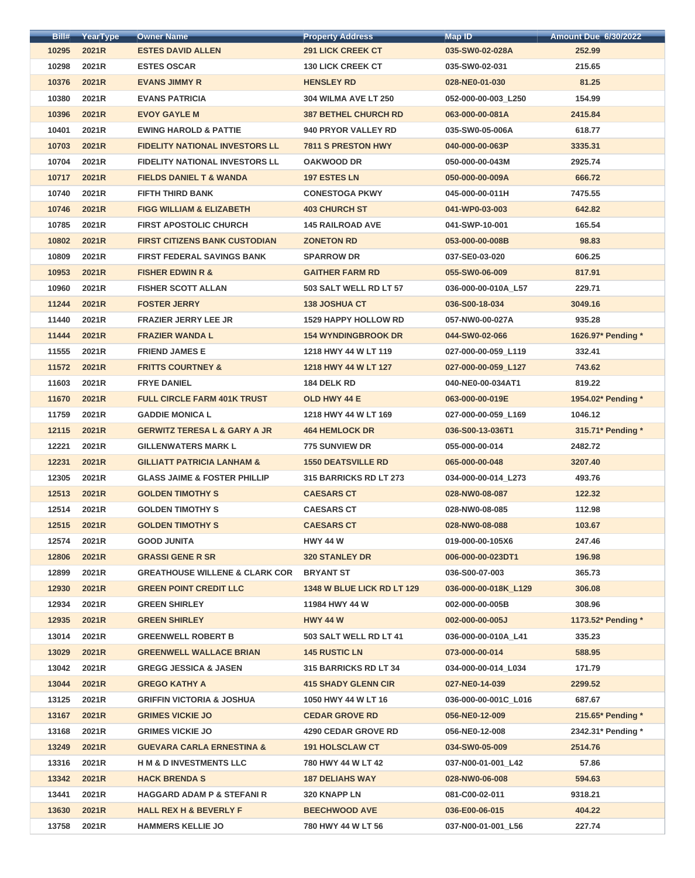| Bill# | YearType | <b>Owner Name</b>                         | <b>Property Address</b>       | <b>Map ID</b>        | <b>Amount Due 6/30/2022</b> |
|-------|----------|-------------------------------------------|-------------------------------|----------------------|-----------------------------|
| 10295 | 2021R    | <b>ESTES DAVID ALLEN</b>                  | <b>291 LICK CREEK CT</b>      | 035-SW0-02-028A      | 252.99                      |
| 10298 | 2021R    | <b>ESTES OSCAR</b>                        | <b>130 LICK CREEK CT</b>      | 035-SW0-02-031       | 215.65                      |
| 10376 | 2021R    | <b>EVANS JIMMY R</b>                      | <b>HENSLEY RD</b>             | 028-NE0-01-030       | 81.25                       |
| 10380 | 2021R    | <b>EVANS PATRICIA</b>                     | <b>304 WILMA AVE LT 250</b>   | 052-000-00-003_L250  | 154.99                      |
| 10396 | 2021R    | <b>EVOY GAYLE M</b>                       | <b>387 BETHEL CHURCH RD</b>   | 063-000-00-081A      | 2415.84                     |
| 10401 | 2021R    | <b>EWING HAROLD &amp; PATTIE</b>          | 940 PRYOR VALLEY RD           | 035-SW0-05-006A      | 618.77                      |
| 10703 | 2021R    | <b>FIDELITY NATIONAL INVESTORS LL</b>     | <b>7811 S PRESTON HWY</b>     | 040-000-00-063P      | 3335.31                     |
| 10704 | 2021R    | <b>FIDELITY NATIONAL INVESTORS LL</b>     | <b>OAKWOOD DR</b>             | 050-000-00-043M      | 2925.74                     |
| 10717 | 2021R    | <b>FIELDS DANIEL T &amp; WANDA</b>        | <b>197 ESTES LN</b>           | 050-000-00-009A      | 666.72                      |
| 10740 | 2021R    | <b>FIFTH THIRD BANK</b>                   | <b>CONESTOGA PKWY</b>         | 045-000-00-011H      | 7475.55                     |
| 10746 | 2021R    | <b>FIGG WILLIAM &amp; ELIZABETH</b>       | <b>403 CHURCH ST</b>          | 041-WP0-03-003       | 642.82                      |
| 10785 | 2021R    | <b>FIRST APOSTOLIC CHURCH</b>             | <b>145 RAILROAD AVE</b>       | 041-SWP-10-001       | 165.54                      |
| 10802 | 2021R    | <b>FIRST CITIZENS BANK CUSTODIAN</b>      | <b>ZONETON RD</b>             | 053-000-00-008B      | 98.83                       |
| 10809 | 2021R    | <b>FIRST FEDERAL SAVINGS BANK</b>         | <b>SPARROW DR</b>             | 037-SE0-03-020       | 606.25                      |
| 10953 | 2021R    | <b>FISHER EDWIN R &amp;</b>               | <b>GAITHER FARM RD</b>        | 055-SW0-06-009       | 817.91                      |
| 10960 | 2021R    | <b>FISHER SCOTT ALLAN</b>                 | 503 SALT WELL RD LT 57        | 036-000-00-010A_L57  | 229.71                      |
| 11244 | 2021R    | <b>FOSTER JERRY</b>                       | <b>138 JOSHUA CT</b>          | 036-S00-18-034       | 3049.16                     |
| 11440 | 2021R    | <b>FRAZIER JERRY LEE JR</b>               | <b>1529 HAPPY HOLLOW RD</b>   | 057-NW0-00-027A      | 935.28                      |
| 11444 | 2021R    | <b>FRAZIER WANDA L</b>                    | <b>154 WYNDINGBROOK DR</b>    | 044-SW0-02-066       | 1626.97* Pending *          |
| 11555 | 2021R    | <b>FRIEND JAMES E</b>                     | 1218 HWY 44 W LT 119          | 027-000-00-059_L119  | 332.41                      |
| 11572 | 2021R    | <b>FRITTS COURTNEY &amp;</b>              | 1218 HWY 44 W LT 127          | 027-000-00-059 L127  | 743.62                      |
| 11603 | 2021R    | <b>FRYE DANIEL</b>                        | 184 DELK RD                   | 040-NE0-00-034AT1    | 819.22                      |
| 11670 | 2021R    | <b>FULL CIRCLE FARM 401K TRUST</b>        | OLD HWY 44 E                  | 063-000-00-019E      | 1954.02* Pending *          |
| 11759 | 2021R    | <b>GADDIE MONICA L</b>                    | 1218 HWY 44 W LT 169          | 027-000-00-059_L169  | 1046.12                     |
| 12115 | 2021R    | <b>GERWITZ TERESA L &amp; GARY A JR</b>   | <b>464 HEMLOCK DR</b>         | 036-S00-13-036T1     | 315.71* Pending *           |
| 12221 | 2021R    | <b>GILLENWATERS MARK L</b>                | 775 SUNVIEW DR                | 055-000-00-014       | 2482.72                     |
| 12231 | 2021R    | <b>GILLIATT PATRICIA LANHAM &amp;</b>     | <b>1550 DEATSVILLE RD</b>     | 065-000-00-048       | 3207.40                     |
| 12305 | 2021R    | <b>GLASS JAIME &amp; FOSTER PHILLIP</b>   | <b>315 BARRICKS RD LT 273</b> | 034-000-00-014_L273  | 493.76                      |
| 12513 | 2021R    | <b>GOLDEN TIMOTHY S</b>                   | <b>CAESARS CT</b>             | 028-NW0-08-087       | 122.32                      |
| 12514 | 2021R    | <b>GOLDEN TIMOTHY S</b>                   | <b>CAESARS CT</b>             | 028-NW0-08-085       | 112.98                      |
| 12515 | 2021R    | <b>GOLDEN TIMOTHY S</b>                   | <b>CAESARS CT</b>             | 028-NW0-08-088       | 103.67                      |
| 12574 | 2021R    | <b>GOOD JUNITA</b>                        | <b>HWY 44 W</b>               | 019-000-00-105X6     | 247.46                      |
| 12806 | 2021R    | <b>GRASSI GENE R SR</b>                   | <b>320 STANLEY DR</b>         | 006-000-00-023DT1    | 196.98                      |
| 12899 | 2021R    | <b>GREATHOUSE WILLENE &amp; CLARK COR</b> | <b>BRYANT ST</b>              | 036-S00-07-003       | 365.73                      |
| 12930 | 2021R    | <b>GREEN POINT CREDIT LLC</b>             | 1348 W BLUE LICK RD LT 129    | 036-000-00-018K_L129 | 306.08                      |
| 12934 | 2021R    | <b>GREEN SHIRLEY</b>                      | 11984 HWY 44 W                | 002-000-00-005B      | 308.96                      |
| 12935 | 2021R    | <b>GREEN SHIRLEY</b>                      | <b>HWY 44 W</b>               | 002-000-00-005J      | 1173.52* Pending *          |
| 13014 | 2021R    | <b>GREENWELL ROBERT B</b>                 | 503 SALT WELL RD LT 41        | 036-000-00-010A_L41  | 335.23                      |
| 13029 | 2021R    | <b>GREENWELL WALLACE BRIAN</b>            | <b>145 RUSTIC LN</b>          | 073-000-00-014       | 588.95                      |
| 13042 | 2021R    | <b>GREGG JESSICA &amp; JASEN</b>          | 315 BARRICKS RD LT 34         | 034-000-00-014_L034  | 171.79                      |
| 13044 | 2021R    | <b>GREGO KATHY A</b>                      | <b>415 SHADY GLENN CIR</b>    | 027-NE0-14-039       | 2299.52                     |
| 13125 | 2021R    | <b>GRIFFIN VICTORIA &amp; JOSHUA</b>      | 1050 HWY 44 W LT 16           | 036-000-00-001C L016 | 687.67                      |
| 13167 | 2021R    | <b>GRIMES VICKIE JO</b>                   | <b>CEDAR GROVE RD</b>         | 056-NE0-12-009       | 215.65* Pending *           |
| 13168 | 2021R    | <b>GRIMES VICKIE JO</b>                   | <b>4290 CEDAR GROVE RD</b>    | 056-NE0-12-008       | 2342.31* Pending *          |
| 13249 | 2021R    | <b>GUEVARA CARLA ERNESTINA &amp;</b>      | <b>191 HOLSCLAW CT</b>        | 034-SW0-05-009       | 2514.76                     |
| 13316 | 2021R    | <b>H M &amp; D INVESTMENTS LLC</b>        | 780 HWY 44 W LT 42            | 037-N00-01-001 L42   | 57.86                       |
| 13342 | 2021R    | <b>HACK BRENDA S</b>                      | <b>187 DELIAHS WAY</b>        | 028-NW0-06-008       | 594.63                      |
| 13441 | 2021R    | <b>HAGGARD ADAM P &amp; STEFANI R</b>     | 320 KNAPP LN                  | 081-C00-02-011       | 9318.21                     |
| 13630 | 2021R    | <b>HALL REX H &amp; BEVERLY F</b>         | <b>BEECHWOOD AVE</b>          | 036-E00-06-015       | 404.22                      |
| 13758 | 2021R    | <b>HAMMERS KELLIE JO</b>                  | 780 HWY 44 W LT 56            | 037-N00-01-001_L56   | 227.74                      |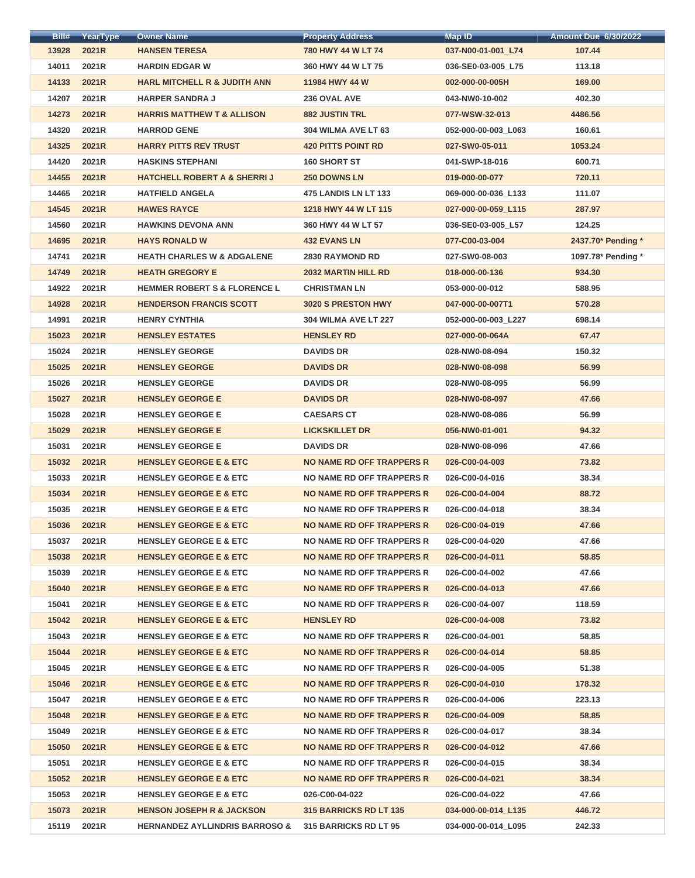| Bill#          | <b>YearType</b> | <b>Owner Name</b>                         | <b>Property Address</b>          | <b>Map ID</b>       | <b>Amount Due 6/30/2022</b> |
|----------------|-----------------|-------------------------------------------|----------------------------------|---------------------|-----------------------------|
| 13928          | 2021R           | <b>HANSEN TERESA</b>                      | 780 HWY 44 W LT 74               | 037-N00-01-001_L74  | 107.44                      |
| 14011          | 2021R           | <b>HARDIN EDGAR W</b>                     | 360 HWY 44 W LT 75               | 036-SE0-03-005_L75  | 113.18                      |
| 14133          | 2021R           | <b>HARL MITCHELL R &amp; JUDITH ANN</b>   | 11984 HWY 44 W                   | 002-000-00-005H     | 169.00                      |
| 14207          | 2021R           | <b>HARPER SANDRA J</b>                    | 236 OVAL AVE                     | 043-NW0-10-002      | 402.30                      |
| 14273          | 2021R           | <b>HARRIS MATTHEW T &amp; ALLISON</b>     | <b>882 JUSTIN TRL</b>            | 077-WSW-32-013      | 4486.56                     |
| 14320          | 2021R           | <b>HARROD GENE</b>                        | 304 WILMA AVE LT 63              | 052-000-00-003 L063 | 160.61                      |
| 14325          | 2021R           | <b>HARRY PITTS REV TRUST</b>              | <b>420 PITTS POINT RD</b>        | 027-SW0-05-011      | 1053.24                     |
| 14420          | 2021R           | <b>HASKINS STEPHANI</b>                   | <b>160 SHORT ST</b>              | 041-SWP-18-016      | 600.71                      |
| 14455          | 2021R           | <b>HATCHELL ROBERT A &amp; SHERRIJ</b>    | <b>250 DOWNS LN</b>              | 019-000-00-077      | 720.11                      |
| 14465          | 2021R           | <b>HATFIELD ANGELA</b>                    | <b>475 LANDIS LN LT 133</b>      | 069-000-00-036 L133 | 111.07                      |
| 14545          | 2021R           | <b>HAWES RAYCE</b>                        | 1218 HWY 44 W LT 115             | 027-000-00-059 L115 | 287.97                      |
| 14560          | 2021R           | <b>HAWKINS DEVONA ANN</b>                 | 360 HWY 44 W LT 57               | 036-SE0-03-005_L57  | 124.25                      |
| 14695          | 2021R           | <b>HAYS RONALD W</b>                      | <b>432 EVANS LN</b>              | 077-C00-03-004      | 2437.70* Pending *          |
| 14741          | 2021R           | <b>HEATH CHARLES W &amp; ADGALENE</b>     | <b>2830 RAYMOND RD</b>           | 027-SW0-08-003      | 1097.78* Pending *          |
| 14749          | 2021R           | <b>HEATH GREGORY E</b>                    | <b>2032 MARTIN HILL RD</b>       | 018-000-00-136      | 934.30                      |
| 14922          | 2021R           | <b>HEMMER ROBERT S &amp; FLORENCE L</b>   | <b>CHRISTMAN LN</b>              | 053-000-00-012      | 588.95                      |
| 14928          | 2021R           | <b>HENDERSON FRANCIS SCOTT</b>            | 3020 S PRESTON HWY               | 047-000-00-007T1    | 570.28                      |
| 14991          | 2021R           | <b>HENRY CYNTHIA</b>                      | <b>304 WILMA AVE LT 227</b>      | 052-000-00-003_L227 | 698.14                      |
| 15023          | 2021R           | <b>HENSLEY ESTATES</b>                    | <b>HENSLEY RD</b>                | 027-000-00-064A     | 67.47                       |
| 15024          | 2021R           | <b>HENSLEY GEORGE</b>                     | <b>DAVIDS DR</b>                 | 028-NW0-08-094      | 150.32                      |
| 15025          | 2021R           | <b>HENSLEY GEORGE</b>                     | <b>DAVIDS DR</b>                 | 028-NW0-08-098      | 56.99                       |
| 15026          | 2021R           | <b>HENSLEY GEORGE</b>                     | <b>DAVIDS DR</b>                 | 028-NW0-08-095      | 56.99                       |
| 15027          | 2021R           | <b>HENSLEY GEORGE E</b>                   | <b>DAVIDS DR</b>                 | 028-NW0-08-097      | 47.66                       |
| 15028          | 2021R           | <b>HENSLEY GEORGE E</b>                   | <b>CAESARS CT</b>                | 028-NW0-08-086      | 56.99                       |
| 15029          | 2021R           | <b>HENSLEY GEORGE E</b>                   | <b>LICKSKILLET DR</b>            | 056-NW0-01-001      | 94.32                       |
| 15031          | 2021R           | <b>HENSLEY GEORGE E</b>                   | <b>DAVIDS DR</b>                 | 028-NW0-08-096      | 47.66                       |
| 15032          | 2021R           | <b>HENSLEY GEORGE E &amp; ETC</b>         | NO NAME RD OFF TRAPPERS R        | 026-C00-04-003      | 73.82                       |
| 15033          | 2021R           | <b>HENSLEY GEORGE E &amp; ETC</b>         | NO NAME RD OFF TRAPPERS R        | 026-C00-04-016      | 38.34                       |
| 15034          | 2021R           | <b>HENSLEY GEORGE E &amp; ETC</b>         | <b>NO NAME RD OFF TRAPPERS R</b> | 026-C00-04-004      | 88.72                       |
| 15035          | 2021R           | <b>HENSLEY GEORGE E &amp; ETC</b>         | NO NAME RD OFF TRAPPERS R        | 026-C00-04-018      | 38.34                       |
| 15036          | 2021R           | <b>HENSLEY GEORGE E &amp; ETC</b>         | NO NAME RD OFF TRAPPERS R        | 026-C00-04-019      | 47.66                       |
| 15037          | 2021R           | <b>HENSLEY GEORGE E &amp; ETC</b>         | NO NAME RD OFF TRAPPERS R        | 026-C00-04-020      | 47.66                       |
| 15038          | 2021R           | <b>HENSLEY GEORGE E &amp; ETC</b>         | NO NAME RD OFF TRAPPERS R        | 026-C00-04-011      | 58.85                       |
| 15039          | 2021R           | <b>HENSLEY GEORGE E &amp; ETC</b>         | NO NAME RD OFF TRAPPERS R        | 026-C00-04-002      | 47.66                       |
| 15040          | 2021R           | <b>HENSLEY GEORGE E &amp; ETC</b>         | <b>NO NAME RD OFF TRAPPERS R</b> | 026-C00-04-013      | 47.66                       |
| 15041          | 2021R           | <b>HENSLEY GEORGE E &amp; ETC</b>         | NO NAME RD OFF TRAPPERS R        | 026-C00-04-007      | 118.59                      |
| 15042          | 2021R           | <b>HENSLEY GEORGE E &amp; ETC</b>         | <b>HENSLEY RD</b>                | 026-C00-04-008      | 73.82                       |
| 15043          | 2021R           | <b>HENSLEY GEORGE E &amp; ETC</b>         | NO NAME RD OFF TRAPPERS R        | 026-C00-04-001      | 58.85                       |
| 15044          | 2021R           | <b>HENSLEY GEORGE E &amp; ETC</b>         | NO NAME RD OFF TRAPPERS R        | 026-C00-04-014      | 58.85                       |
| 15045          | 2021R           | <b>HENSLEY GEORGE E &amp; ETC</b>         | NO NAME RD OFF TRAPPERS R        | 026-C00-04-005      | 51.38                       |
| 15046          | 2021R           | <b>HENSLEY GEORGE E &amp; ETC</b>         | NO NAME RD OFF TRAPPERS R        | 026-C00-04-010      | 178.32                      |
| 15047          | 2021R           | <b>HENSLEY GEORGE E &amp; ETC</b>         | NO NAME RD OFF TRAPPERS R        | 026-C00-04-006      | 223.13                      |
|                | 2021R           | <b>HENSLEY GEORGE E &amp; ETC</b>         | NO NAME RD OFF TRAPPERS R        | 026-C00-04-009      | 58.85                       |
| 15048<br>15049 | 2021R           | <b>HENSLEY GEORGE E &amp; ETC</b>         | NO NAME RD OFF TRAPPERS R        | 026-C00-04-017      | 38.34                       |
|                |                 |                                           | NO NAME RD OFF TRAPPERS R        |                     |                             |
| 15050          | 2021R           | <b>HENSLEY GEORGE E &amp; ETC</b>         | NO NAME RD OFF TRAPPERS R        | 026-C00-04-012      | 47.66                       |
| 15051          | 2021R           | <b>HENSLEY GEORGE E &amp; ETC</b>         |                                  | 026-C00-04-015      | 38.34                       |
| 15052          | 2021R           | <b>HENSLEY GEORGE E &amp; ETC</b>         | <b>NO NAME RD OFF TRAPPERS R</b> | 026-C00-04-021      | 38.34                       |
| 15053          | 2021R           | <b>HENSLEY GEORGE E &amp; ETC</b>         | 026-C00-04-022                   | 026-C00-04-022      | 47.66                       |
| 15073          | 2021R           | <b>HENSON JOSEPH R &amp; JACKSON</b>      | <b>315 BARRICKS RD LT 135</b>    | 034-000-00-014 L135 | 446.72                      |
| 15119          | 2021R           | <b>HERNANDEZ AYLLINDRIS BARROSO &amp;</b> | <b>315 BARRICKS RD LT 95</b>     | 034-000-00-014 L095 | 242.33                      |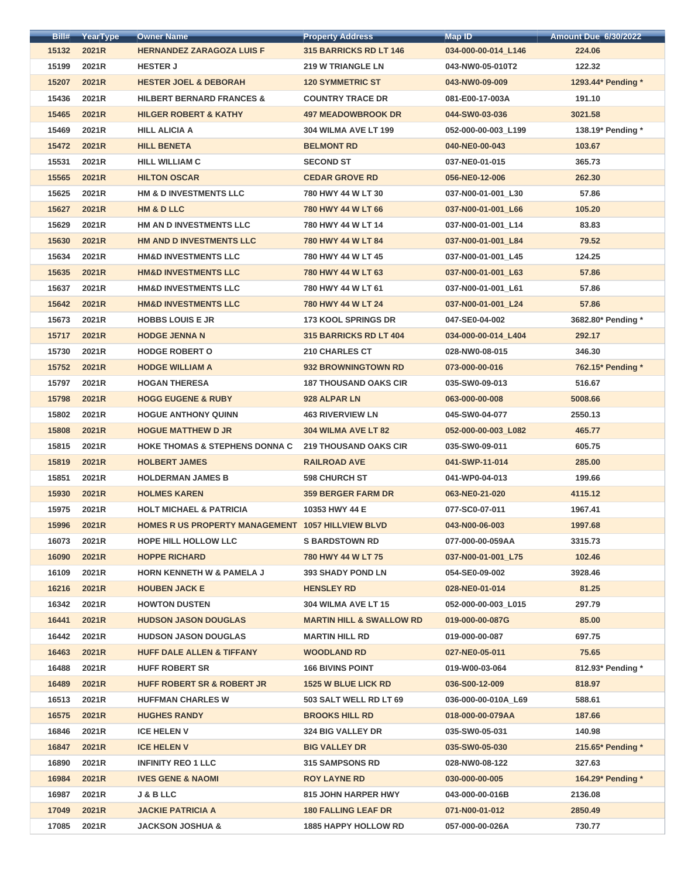| Bill# | YearType | <b>Owner Name</b>                                 | <b>Property Address</b>             | <b>Map ID</b>       | <b>Amount Due 6/30/2022</b> |
|-------|----------|---------------------------------------------------|-------------------------------------|---------------------|-----------------------------|
| 15132 | 2021R    | <b>HERNANDEZ ZARAGOZA LUIS F</b>                  | 315 BARRICKS RD LT 146              | 034-000-00-014_L146 | 224.06                      |
| 15199 | 2021R    | <b>HESTER J</b>                                   | <b>219 W TRIANGLE LN</b>            | 043-NW0-05-010T2    | 122.32                      |
| 15207 | 2021R    | <b>HESTER JOEL &amp; DEBORAH</b>                  | <b>120 SYMMETRIC ST</b>             | 043-NW0-09-009      | 1293.44* Pending *          |
| 15436 | 2021R    | <b>HILBERT BERNARD FRANCES &amp;</b>              | <b>COUNTRY TRACE DR</b>             | 081-E00-17-003A     | 191.10                      |
| 15465 | 2021R    | <b>HILGER ROBERT &amp; KATHY</b>                  | <b>497 MEADOWBROOK DR</b>           | 044-SW0-03-036      | 3021.58                     |
| 15469 | 2021R    | <b>HILL ALICIA A</b>                              | <b>304 WILMA AVE LT 199</b>         | 052-000-00-003 L199 | 138.19* Pending *           |
| 15472 | 2021R    | <b>HILL BENETA</b>                                | <b>BELMONT RD</b>                   | 040-NE0-00-043      | 103.67                      |
| 15531 | 2021R    | <b>HILL WILLIAM C</b>                             | <b>SECOND ST</b>                    | 037-NE0-01-015      | 365.73                      |
| 15565 | 2021R    | <b>HILTON OSCAR</b>                               | <b>CEDAR GROVE RD</b>               | 056-NE0-12-006      | 262.30                      |
| 15625 | 2021R    | HM & D INVESTMENTS LLC                            | 780 HWY 44 W LT 30                  | 037-N00-01-001_L30  | 57.86                       |
| 15627 | 2021R    | <b>HM &amp; D LLC</b>                             | 780 HWY 44 W LT 66                  | 037-N00-01-001_L66  | 105.20                      |
| 15629 | 2021R    | HM AN D INVESTMENTS LLC                           | 780 HWY 44 W LT 14                  | 037-N00-01-001_L14  | 83.83                       |
| 15630 | 2021R    | HM AND D INVESTMENTS LLC                          | 780 HWY 44 W LT 84                  | 037-N00-01-001_L84  | 79.52                       |
| 15634 | 2021R    | <b>HM&amp;D INVESTMENTS LLC</b>                   | 780 HWY 44 W LT 45                  | 037-N00-01-001 L45  | 124.25                      |
| 15635 | 2021R    | <b>HM&amp;D INVESTMENTS LLC</b>                   | 780 HWY 44 W LT 63                  | 037-N00-01-001 L63  | 57.86                       |
| 15637 | 2021R    | <b>HM&amp;D INVESTMENTS LLC</b>                   | 780 HWY 44 W LT 61                  | 037-N00-01-001_L61  | 57.86                       |
| 15642 | 2021R    | <b>HM&amp;D INVESTMENTS LLC</b>                   | 780 HWY 44 W LT 24                  | 037-N00-01-001_L24  | 57.86                       |
| 15673 | 2021R    | <b>HOBBS LOUIS E JR</b>                           | <b>173 KOOL SPRINGS DR</b>          | 047-SE0-04-002      | 3682.80* Pending *          |
| 15717 | 2021R    | <b>HODGE JENNA N</b>                              | <b>315 BARRICKS RD LT 404</b>       | 034-000-00-014_L404 | 292.17                      |
| 15730 | 2021R    | <b>HODGE ROBERT O</b>                             | <b>210 CHARLES CT</b>               | 028-NW0-08-015      | 346.30                      |
| 15752 | 2021R    | <b>HODGE WILLIAM A</b>                            | <b>932 BROWNINGTOWN RD</b>          | 073-000-00-016      | 762.15* Pending *           |
| 15797 | 2021R    | <b>HOGAN THERESA</b>                              | <b>187 THOUSAND OAKS CIR</b>        | 035-SW0-09-013      | 516.67                      |
| 15798 | 2021R    | <b>HOGG EUGENE &amp; RUBY</b>                     | 928 ALPAR LN                        | 063-000-00-008      | 5008.66                     |
| 15802 | 2021R    | <b>HOGUE ANTHONY QUINN</b>                        | <b>463 RIVERVIEW LN</b>             | 045-SW0-04-077      | 2550.13                     |
| 15808 | 2021R    | <b>HOGUE MATTHEW D JR</b>                         | 304 WILMA AVE LT 82                 | 052-000-00-003_L082 | 465.77                      |
| 15815 | 2021R    | <b>HOKE THOMAS &amp; STEPHENS DONNA C</b>         | <b>219 THOUSAND OAKS CIR</b>        | 035-SW0-09-011      | 605.75                      |
| 15819 | 2021R    | <b>HOLBERT JAMES</b>                              | <b>RAILROAD AVE</b>                 | 041-SWP-11-014      | 285.00                      |
| 15851 | 2021R    | <b>HOLDERMAN JAMES B</b>                          | <b>598 CHURCH ST</b>                | 041-WP0-04-013      | 199.66                      |
| 15930 | 2021R    | <b>HOLMES KAREN</b>                               | <b>359 BERGER FARM DR</b>           | 063-NE0-21-020      | 4115.12                     |
| 15975 | 2021R    | <b>HOLT MICHAEL &amp; PATRICIA</b>                | 10353 HWY 44 E                      | 077-SC0-07-011      | 1967.41                     |
| 15996 | 2021R    | HOMES R US PROPERTY MANAGEMENT 1057 HILLVIEW BLVD |                                     | 043-N00-06-003      | 1997.68                     |
| 16073 | 2021R    | <b>HOPE HILL HOLLOW LLC</b>                       | <b>S BARDSTOWN RD</b>               | 077-000-00-059AA    | 3315.73                     |
| 16090 | 2021R    | <b>HOPPE RICHARD</b>                              | 780 HWY 44 W LT 75                  | 037-N00-01-001_L75  | 102.46                      |
| 16109 | 2021R    | <b>HORN KENNETH W &amp; PAMELA J</b>              | <b>393 SHADY POND LN</b>            | 054-SE0-09-002      | 3928.46                     |
| 16216 | 2021R    | <b>HOUBEN JACK E</b>                              | <b>HENSLEY RD</b>                   | 028-NE0-01-014      | 81.25                       |
| 16342 | 2021R    | <b>HOWTON DUSTEN</b>                              | 304 WILMA AVE LT 15                 | 052-000-00-003 L015 | 297.79                      |
| 16441 | 2021R    | <b>HUDSON JASON DOUGLAS</b>                       | <b>MARTIN HILL &amp; SWALLOW RD</b> | 019-000-00-087G     | 85.00                       |
| 16442 | 2021R    | <b>HUDSON JASON DOUGLAS</b>                       | <b>MARTIN HILL RD</b>               | 019-000-00-087      | 697.75                      |
| 16463 | 2021R    | <b>HUFF DALE ALLEN &amp; TIFFANY</b>              | <b>WOODLAND RD</b>                  | 027-NE0-05-011      | 75.65                       |
| 16488 | 2021R    | <b>HUFF ROBERT SR</b>                             | <b>166 BIVINS POINT</b>             | 019-W00-03-064      | 812.93* Pending *           |
| 16489 | 2021R    | <b>HUFF ROBERT SR &amp; ROBERT JR</b>             | <b>1525 W BLUE LICK RD</b>          | 036-S00-12-009      | 818.97                      |
| 16513 | 2021R    | <b>HUFFMAN CHARLES W</b>                          | 503 SALT WELL RD LT 69              | 036-000-00-010A L69 | 588.61                      |
| 16575 | 2021R    | <b>HUGHES RANDY</b>                               | <b>BROOKS HILL RD</b>               | 018-000-00-079AA    | 187.66                      |
| 16846 | 2021R    | <b>ICE HELEN V</b>                                | <b>324 BIG VALLEY DR</b>            | 035-SW0-05-031      | 140.98                      |
| 16847 | 2021R    | <b>ICE HELEN V</b>                                | <b>BIG VALLEY DR</b>                | 035-SW0-05-030      | 215.65* Pending *           |
| 16890 | 2021R    | <b>INFINITY REO 1 LLC</b>                         | <b>315 SAMPSONS RD</b>              | 028-NW0-08-122      | 327.63                      |
| 16984 | 2021R    | <b>IVES GENE &amp; NAOMI</b>                      | <b>ROY LAYNE RD</b>                 | 030-000-00-005      | 164.29* Pending *           |
| 16987 | 2021R    | <b>J &amp; B LLC</b>                              | <b>815 JOHN HARPER HWY</b>          | 043-000-00-016B     | 2136.08                     |
| 17049 | 2021R    | <b>JACKIE PATRICIA A</b>                          | <b>180 FALLING LEAF DR</b>          | 071-N00-01-012      | 2850.49                     |
| 17085 | 2021R    | <b>JACKSON JOSHUA &amp;</b>                       | <b>1885 HAPPY HOLLOW RD</b>         | 057-000-00-026A     | 730.77                      |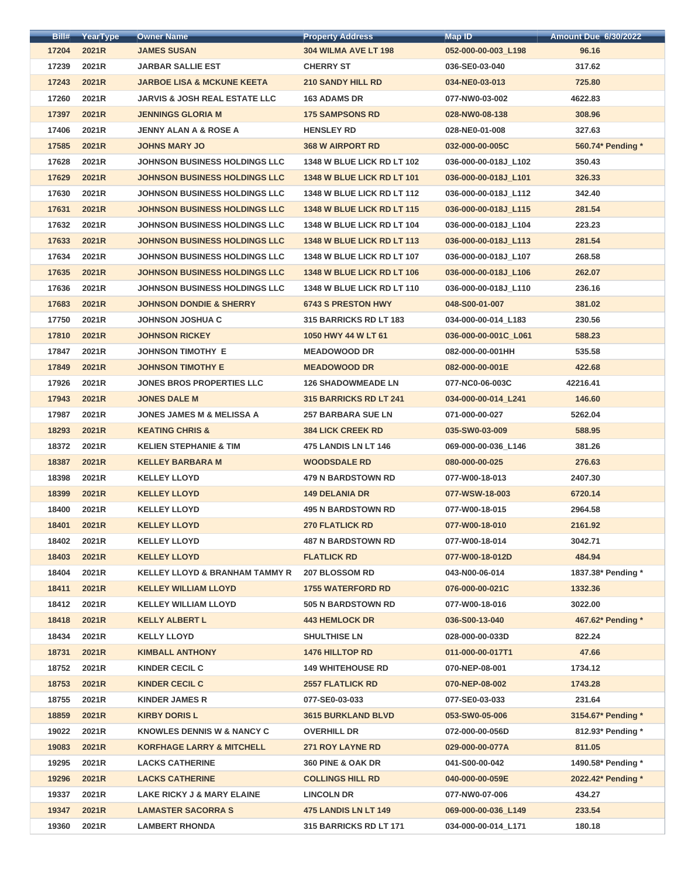| Bill# | YearType | <b>Owner Name</b>                         | <b>Property Address</b>           | <b>Map ID</b>        | <b>Amount Due 6/30/2022</b> |
|-------|----------|-------------------------------------------|-----------------------------------|----------------------|-----------------------------|
| 17204 | 2021R    | <b>JAMES SUSAN</b>                        | <b>304 WILMA AVE LT 198</b>       | 052-000-00-003_L198  | 96.16                       |
| 17239 | 2021R    | <b>JARBAR SALLIE EST</b>                  | <b>CHERRY ST</b>                  | 036-SE0-03-040       | 317.62                      |
| 17243 | 2021R    | <b>JARBOE LISA &amp; MCKUNE KEETA</b>     | <b>210 SANDY HILL RD</b>          | 034-NE0-03-013       | 725.80                      |
| 17260 | 2021R    | <b>JARVIS &amp; JOSH REAL ESTATE LLC</b>  | <b>163 ADAMS DR</b>               | 077-NW0-03-002       | 4622.83                     |
| 17397 | 2021R    | <b>JENNINGS GLORIA M</b>                  | <b>175 SAMPSONS RD</b>            | 028-NW0-08-138       | 308.96                      |
| 17406 | 2021R    | <b>JENNY ALAN A &amp; ROSE A</b>          | <b>HENSLEY RD</b>                 | 028-NE0-01-008       | 327.63                      |
| 17585 | 2021R    | <b>JOHNS MARY JO</b>                      | <b>368 W AIRPORT RD</b>           | 032-000-00-005C      | 560.74* Pending *           |
| 17628 | 2021R    | <b>JOHNSON BUSINESS HOLDINGS LLC</b>      | 1348 W BLUE LICK RD LT 102        | 036-000-00-018J_L102 | 350.43                      |
| 17629 | 2021R    | <b>JOHNSON BUSINESS HOLDINGS LLC</b>      | 1348 W BLUE LICK RD LT 101        | 036-000-00-018J L101 | 326.33                      |
| 17630 | 2021R    | <b>JOHNSON BUSINESS HOLDINGS LLC</b>      | <b>1348 W BLUE LICK RD LT 112</b> | 036-000-00-018J L112 | 342.40                      |
| 17631 | 2021R    | <b>JOHNSON BUSINESS HOLDINGS LLC</b>      | 1348 W BLUE LICK RD LT 115        | 036-000-00-018J L115 | 281.54                      |
| 17632 | 2021R    | <b>JOHNSON BUSINESS HOLDINGS LLC</b>      | 1348 W BLUE LICK RD LT 104        | 036-000-00-018J L104 | 223.23                      |
| 17633 | 2021R    | <b>JOHNSON BUSINESS HOLDINGS LLC</b>      | 1348 W BLUE LICK RD LT 113        | 036-000-00-018J L113 | 281.54                      |
| 17634 | 2021R    | <b>JOHNSON BUSINESS HOLDINGS LLC</b>      | 1348 W BLUE LICK RD LT 107        | 036-000-00-018J_L107 | 268.58                      |
| 17635 | 2021R    | <b>JOHNSON BUSINESS HOLDINGS LLC</b>      | 1348 W BLUE LICK RD LT 106        | 036-000-00-018J L106 | 262.07                      |
| 17636 | 2021R    | <b>JOHNSON BUSINESS HOLDINGS LLC</b>      | <b>1348 W BLUE LICK RD LT 110</b> | 036-000-00-018J_L110 | 236.16                      |
| 17683 | 2021R    | <b>JOHNSON DONDIE &amp; SHERRY</b>        | <b>6743 S PRESTON HWY</b>         | 048-S00-01-007       | 381.02                      |
| 17750 | 2021R    | <b>JOHNSON JOSHUA C</b>                   | 315 BARRICKS RD LT 183            | 034-000-00-014 L183  | 230.56                      |
| 17810 | 2021R    | <b>JOHNSON RICKEY</b>                     | 1050 HWY 44 W LT 61               | 036-000-00-001C_L061 | 588.23                      |
| 17847 | 2021R    | <b>JOHNSON TIMOTHY E</b>                  | <b>MEADOWOOD DR</b>               | 082-000-00-001HH     | 535.58                      |
| 17849 | 2021R    | <b>JOHNSON TIMOTHY E</b>                  | <b>MEADOWOOD DR</b>               | 082-000-00-001E      | 422.68                      |
| 17926 | 2021R    | <b>JONES BROS PROPERTIES LLC</b>          | <b>126 SHADOWMEADE LN</b>         | 077-NC0-06-003C      | 42216.41                    |
| 17943 | 2021R    | <b>JONES DALE M</b>                       | <b>315 BARRICKS RD LT 241</b>     | 034-000-00-014 L241  | 146.60                      |
| 17987 | 2021R    | <b>JONES JAMES M &amp; MELISSA A</b>      | <b>257 BARBARA SUE LN</b>         | 071-000-00-027       | 5262.04                     |
| 18293 | 2021R    | <b>KEATING CHRIS &amp;</b>                | <b>384 LICK CREEK RD</b>          | 035-SW0-03-009       | 588.95                      |
| 18372 | 2021R    | <b>KELIEN STEPHANIE &amp; TIM</b>         | <b>475 LANDIS LN LT 146</b>       | 069-000-00-036_L146  | 381.26                      |
| 18387 | 2021R    | <b>KELLEY BARBARA M</b>                   | <b>WOODSDALE RD</b>               | 080-000-00-025       | 276.63                      |
| 18398 | 2021R    | <b>KELLEY LLOYD</b>                       | <b>479 N BARDSTOWN RD</b>         | 077-W00-18-013       | 2407.30                     |
| 18399 | 2021R    | <b>KELLEY LLOYD</b>                       | <b>149 DELANIA DR</b>             | 077-WSW-18-003       | 6720.14                     |
| 18400 | 2021R    | <b>KELLEY LLOYD</b>                       | <b>495 N BARDSTOWN RD</b>         | 077-W00-18-015       | 2964.58                     |
| 18401 | 2021R    | <b>KELLEY LLOYD</b>                       | <b>270 FLATLICK RD</b>            | 077-W00-18-010       | 2161.92                     |
| 18402 | 2021R    | <b>KELLEY LLOYD</b>                       | <b>487 N BARDSTOWN RD</b>         | 077-W00-18-014       | 3042.71                     |
| 18403 | 2021R    | <b>KELLEY LLOYD</b>                       | <b>FLATLICK RD</b>                | 077-W00-18-012D      | 484.94                      |
| 18404 | 2021R    | <b>KELLEY LLOYD &amp; BRANHAM TAMMY R</b> | <b>207 BLOSSOM RD</b>             | 043-N00-06-014       | 1837.38* Pending *          |
| 18411 | 2021R    | <b>KELLEY WILLIAM LLOYD</b>               | <b>1755 WATERFORD RD</b>          | 076-000-00-021C      | 1332.36                     |
| 18412 | 2021R    | <b>KELLEY WILLIAM LLOYD</b>               | <b>505 N BARDSTOWN RD</b>         | 077-W00-18-016       | 3022.00                     |
| 18418 | 2021R    | <b>KELLY ALBERT L</b>                     | <b>443 HEMLOCK DR</b>             | 036-S00-13-040       | 467.62* Pending *           |
| 18434 | 2021R    | <b>KELLY LLOYD</b>                        | <b>SHULTHISE LN</b>               | 028-000-00-033D      | 822.24                      |
| 18731 | 2021R    | <b>KIMBALL ANTHONY</b>                    | <b>1476 HILLTOP RD</b>            | 011-000-00-017T1     | 47.66                       |
| 18752 | 2021R    | <b>KINDER CECIL C</b>                     | <b>149 WHITEHOUSE RD</b>          | 070-NEP-08-001       | 1734.12                     |
| 18753 | 2021R    | <b>KINDER CECIL C</b>                     | <b>2557 FLATLICK RD</b>           | 070-NEP-08-002       | 1743.28                     |
| 18755 | 2021R    | <b>KINDER JAMES R</b>                     | 077-SE0-03-033                    | 077-SE0-03-033       | 231.64                      |
| 18859 | 2021R    | <b>KIRBY DORIS L</b>                      | <b>3615 BURKLAND BLVD</b>         | 053-SW0-05-006       | 3154.67* Pending *          |
| 19022 | 2021R    | <b>KNOWLES DENNIS W &amp; NANCY C</b>     | <b>OVERHILL DR</b>                | 072-000-00-056D      | 812.93* Pending *           |
| 19083 | 2021R    | <b>KORFHAGE LARRY &amp; MITCHELL</b>      | <b>271 ROY LAYNE RD</b>           | 029-000-00-077A      | 811.05                      |
| 19295 | 2021R    | <b>LACKS CATHERINE</b>                    | 360 PINE & OAK DR                 | 041-S00-00-042       | 1490.58* Pending *          |
| 19296 | 2021R    | <b>LACKS CATHERINE</b>                    | <b>COLLINGS HILL RD</b>           | 040-000-00-059E      | 2022.42* Pending *          |
| 19337 | 2021R    | LAKE RICKY J & MARY ELAINE                | <b>LINCOLN DR</b>                 | 077-NW0-07-006       | 434.27                      |
| 19347 | 2021R    | <b>LAMASTER SACORRA S</b>                 | 475 LANDIS LN LT 149              | 069-000-00-036 L149  | 233.54                      |
| 19360 | 2021R    | <b>LAMBERT RHONDA</b>                     | 315 BARRICKS RD LT 171            | 034-000-00-014 L171  | 180.18                      |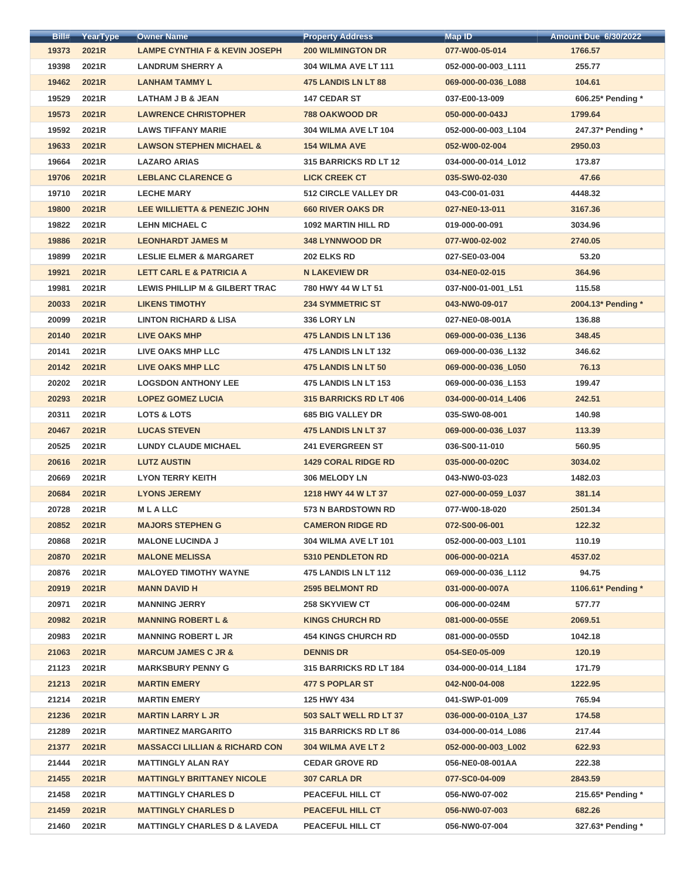| Bill# | YearType | <b>Owner Name</b>                         | <b>Property Address</b>       | <b>Map ID</b>       | <b>Amount Due 6/30/2022</b> |
|-------|----------|-------------------------------------------|-------------------------------|---------------------|-----------------------------|
| 19373 | 2021R    | <b>LAMPE CYNTHIA F &amp; KEVIN JOSEPH</b> | <b>200 WILMINGTON DR</b>      | 077-W00-05-014      | 1766.57                     |
| 19398 | 2021R    | <b>LANDRUM SHERRY A</b>                   | <b>304 WILMA AVE LT 111</b>   | 052-000-00-003_L111 | 255.77                      |
| 19462 | 2021R    | <b>LANHAM TAMMY L</b>                     | <b>475 LANDIS LN LT 88</b>    | 069-000-00-036_L088 | 104.61                      |
| 19529 | 2021R    | LATHAM J B & JEAN                         | <b>147 CEDAR ST</b>           | 037-E00-13-009      | 606.25* Pending *           |
| 19573 | 2021R    | <b>LAWRENCE CHRISTOPHER</b>               | <b>788 OAKWOOD DR</b>         | 050-000-00-043J     | 1799.64                     |
| 19592 | 2021R    | <b>LAWS TIFFANY MARIE</b>                 | <b>304 WILMA AVE LT 104</b>   | 052-000-00-003 L104 | 247.37* Pending *           |
| 19633 | 2021R    | <b>LAWSON STEPHEN MICHAEL &amp;</b>       | <b>154 WILMA AVE</b>          | 052-W00-02-004      | 2950.03                     |
| 19664 | 2021R    | <b>LAZARO ARIAS</b>                       | <b>315 BARRICKS RD LT 12</b>  | 034-000-00-014_L012 | 173.87                      |
| 19706 | 2021R    | <b>LEBLANC CLARENCE G</b>                 | <b>LICK CREEK CT</b>          | 035-SW0-02-030      | 47.66                       |
| 19710 | 2021R    | <b>LECHE MARY</b>                         | <b>512 CIRCLE VALLEY DR</b>   | 043-C00-01-031      | 4448.32                     |
| 19800 | 2021R    | <b>LEE WILLIETTA &amp; PENEZIC JOHN</b>   | <b>660 RIVER OAKS DR</b>      | 027-NE0-13-011      | 3167.36                     |
| 19822 | 2021R    | <b>LEHN MICHAEL C</b>                     | <b>1092 MARTIN HILL RD</b>    | 019-000-00-091      | 3034.96                     |
| 19886 | 2021R    | <b>LEONHARDT JAMES M</b>                  | <b>348 LYNNWOOD DR</b>        | 077-W00-02-002      | 2740.05                     |
| 19899 | 2021R    | <b>LESLIE ELMER &amp; MARGARET</b>        | <b>202 ELKS RD</b>            | 027-SE0-03-004      | 53.20                       |
| 19921 | 2021R    | <b>LETT CARL E &amp; PATRICIA A</b>       | <b>N LAKEVIEW DR</b>          | 034-NE0-02-015      | 364.96                      |
| 19981 | 2021R    | <b>LEWIS PHILLIP M &amp; GILBERT TRAC</b> | 780 HWY 44 W LT 51            | 037-N00-01-001_L51  | 115.58                      |
| 20033 | 2021R    | <b>LIKENS TIMOTHY</b>                     | <b>234 SYMMETRIC ST</b>       | 043-NW0-09-017      | 2004.13* Pending *          |
| 20099 | 2021R    | <b>LINTON RICHARD &amp; LISA</b>          | 336 LORY LN                   | 027-NE0-08-001A     | 136.88                      |
| 20140 | 2021R    | <b>LIVE OAKS MHP</b>                      | 475 LANDIS LN LT 136          | 069-000-00-036_L136 | 348.45                      |
| 20141 | 2021R    | LIVE OAKS MHP LLC                         | <b>475 LANDIS LN LT 132</b>   | 069-000-00-036_L132 | 346.62                      |
| 20142 | 2021R    | <b>LIVE OAKS MHP LLC</b>                  | <b>475 LANDIS LN LT 50</b>    | 069-000-00-036_L050 | 76.13                       |
| 20202 | 2021R    | <b>LOGSDON ANTHONY LEE</b>                | <b>475 LANDIS LN LT 153</b>   | 069-000-00-036_L153 | 199.47                      |
| 20293 | 2021R    | <b>LOPEZ GOMEZ LUCIA</b>                  | <b>315 BARRICKS RD LT 406</b> | 034-000-00-014_L406 | 242.51                      |
| 20311 | 2021R    | <b>LOTS &amp; LOTS</b>                    | <b>685 BIG VALLEY DR</b>      | 035-SW0-08-001      | 140.98                      |
| 20467 | 2021R    | <b>LUCAS STEVEN</b>                       | <b>475 LANDIS LN LT 37</b>    | 069-000-00-036_L037 | 113.39                      |
| 20525 | 2021R    | <b>LUNDY CLAUDE MICHAEL</b>               | <b>241 EVERGREEN ST</b>       | 036-S00-11-010      | 560.95                      |
| 20616 | 2021R    | <b>LUTZ AUSTIN</b>                        | <b>1429 CORAL RIDGE RD</b>    | 035-000-00-020C     | 3034.02                     |
| 20669 | 2021R    | <b>LYON TERRY KEITH</b>                   | 306 MELODY LN                 | 043-NW0-03-023      | 1482.03                     |
| 20684 | 2021R    | <b>LYONS JEREMY</b>                       | 1218 HWY 44 W LT 37           | 027-000-00-059 L037 | 381.14                      |
| 20728 | 2021R    | <b>MLALLC</b>                             | <b>573 N BARDSTOWN RD</b>     | 077-W00-18-020      | 2501.34                     |
| 20852 | 2021R    | <b>MAJORS STEPHEN G</b>                   | <b>CAMERON RIDGE RD</b>       | 072-S00-06-001      | 122.32                      |
| 20868 | 2021R    | <b>MALONE LUCINDA J</b>                   | <b>304 WILMA AVE LT 101</b>   | 052-000-00-003_L101 | 110.19                      |
| 20870 | 2021R    | <b>MALONE MELISSA</b>                     | <b>5310 PENDLETON RD</b>      | 006-000-00-021A     | 4537.02                     |
| 20876 | 2021R    | <b>MALOYED TIMOTHY WAYNE</b>              | <b>475 LANDIS LN LT 112</b>   | 069-000-00-036_L112 | 94.75                       |
| 20919 | 2021R    | <b>MANN DAVID H</b>                       | <b>2595 BELMONT RD</b>        | 031-000-00-007A     | 1106.61* Pending *          |
| 20971 | 2021R    | <b>MANNING JERRY</b>                      | <b>258 SKYVIEW CT</b>         | 006-000-00-024M     | 577.77                      |
| 20982 | 2021R    | <b>MANNING ROBERT L &amp;</b>             | <b>KINGS CHURCH RD</b>        | 081-000-00-055E     | 2069.51                     |
| 20983 | 2021R    | <b>MANNING ROBERT L JR</b>                | <b>454 KINGS CHURCH RD</b>    | 081-000-00-055D     | 1042.18                     |
| 21063 | 2021R    | <b>MARCUM JAMES C JR &amp;</b>            | <b>DENNIS DR</b>              | 054-SE0-05-009      | 120.19                      |
| 21123 | 2021R    | <b>MARKSBURY PENNY G</b>                  | <b>315 BARRICKS RD LT 184</b> | 034-000-00-014_L184 | 171.79                      |
| 21213 | 2021R    | <b>MARTIN EMERY</b>                       | <b>477 S POPLAR ST</b>        | 042-N00-04-008      | 1222.95                     |
| 21214 | 2021R    | <b>MARTIN EMERY</b>                       | 125 HWY 434                   | 041-SWP-01-009      | 765.94                      |
| 21236 | 2021R    | <b>MARTIN LARRY L JR</b>                  | 503 SALT WELL RD LT 37        | 036-000-00-010A L37 | 174.58                      |
| 21289 | 2021R    | <b>MARTINEZ MARGARITO</b>                 | <b>315 BARRICKS RD LT 86</b>  | 034-000-00-014 L086 | 217.44                      |
| 21377 | 2021R    | <b>MASSACCI LILLIAN &amp; RICHARD CON</b> | 304 WILMA AVE LT 2            | 052-000-00-003_L002 | 622.93                      |
| 21444 | 2021R    | <b>MATTINGLY ALAN RAY</b>                 | <b>CEDAR GROVE RD</b>         | 056-NE0-08-001AA    | 222.38                      |
| 21455 | 2021R    | <b>MATTINGLY BRITTANEY NICOLE</b>         | <b>307 CARLA DR</b>           | 077-SC0-04-009      | 2843.59                     |
| 21458 | 2021R    | <b>MATTINGLY CHARLES D</b>                | <b>PEACEFUL HILL CT</b>       | 056-NW0-07-002      | 215.65* Pending *           |
| 21459 | 2021R    | <b>MATTINGLY CHARLES D</b>                | <b>PEACEFUL HILL CT</b>       | 056-NW0-07-003      | 682.26                      |
| 21460 | 2021R    | <b>MATTINGLY CHARLES D &amp; LAVEDA</b>   | PEACEFUL HILL CT              | 056-NW0-07-004      | 327.63* Pending *           |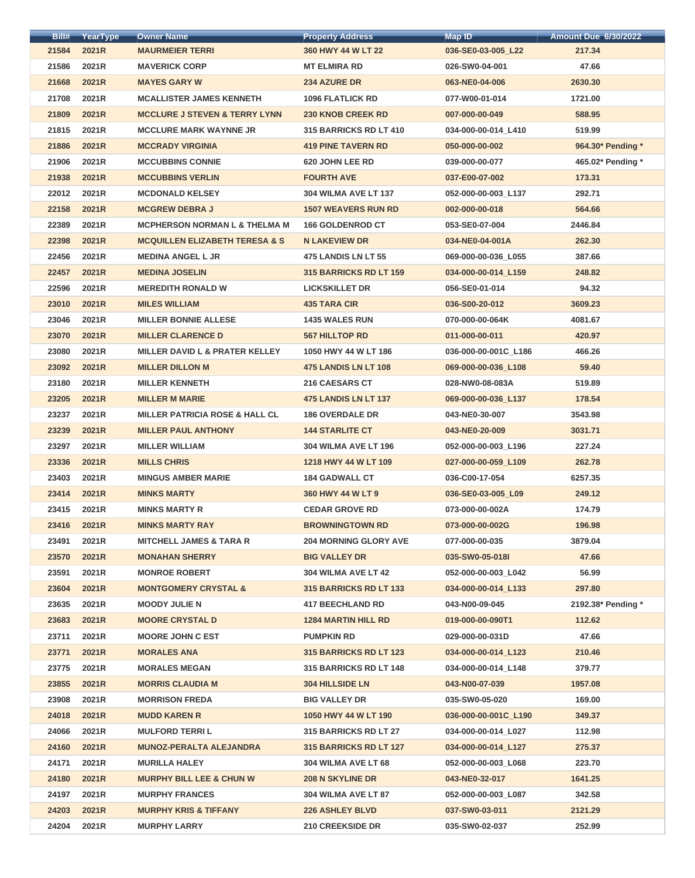| Bill#          | <b>YearType</b> | <b>Owner Name</b>                              | <b>Property Address</b>       | <b>Map ID</b>        | <b>Amount Due 6/30/2022</b> |
|----------------|-----------------|------------------------------------------------|-------------------------------|----------------------|-----------------------------|
| 21584          | 2021R           | <b>MAURMEIER TERRI</b>                         | 360 HWY 44 W LT 22            | 036-SE0-03-005_L22   | 217.34                      |
| 21586          | 2021R           | <b>MAVERICK CORP</b>                           | <b>MT ELMIRA RD</b>           | 026-SW0-04-001       | 47.66                       |
| 21668          | 2021R           | <b>MAYES GARY W</b>                            | <b>234 AZURE DR</b>           | 063-NE0-04-006       | 2630.30                     |
| 21708          | 2021R           | <b>MCALLISTER JAMES KENNETH</b>                | <b>1096 FLATLICK RD</b>       | 077-W00-01-014       | 1721.00                     |
| 21809          | 2021R           | <b>MCCLURE J STEVEN &amp; TERRY LYNN</b>       | <b>230 KNOB CREEK RD</b>      | 007-000-00-049       | 588.95                      |
| 21815          | 2021R           | <b>MCCLURE MARK WAYNNE JR</b>                  | 315 BARRICKS RD LT 410        | 034-000-00-014 L410  | 519.99                      |
| 21886          | 2021R           | <b>MCCRADY VIRGINIA</b>                        | <b>419 PINE TAVERN RD</b>     | 050-000-00-002       | 964.30* Pending *           |
| 21906          | 2021R           | <b>MCCUBBINS CONNIE</b>                        | 620 JOHN LEE RD               | 039-000-00-077       | 465.02* Pending *           |
| 21938          | 2021R           | <b>MCCUBBINS VERLIN</b>                        | <b>FOURTH AVE</b>             | 037-E00-07-002       | 173.31                      |
| 22012          | 2021R           | <b>MCDONALD KELSEY</b>                         | <b>304 WILMA AVE LT 137</b>   | 052-000-00-003_L137  | 292.71                      |
| 22158          | 2021R           | <b>MCGREW DEBRA J</b>                          | <b>1507 WEAVERS RUN RD</b>    | 002-000-00-018       | 564.66                      |
| 22389          | 2021R           | <b>MCPHERSON NORMAN L &amp; THELMA M</b>       | <b>166 GOLDENROD CT</b>       | 053-SE0-07-004       | 2446.84                     |
| 22398          | 2021R           | <b>MCQUILLEN ELIZABETH TERESA &amp; S</b>      | <b>N LAKEVIEW DR</b>          | 034-NE0-04-001A      | 262.30                      |
| 22456          | 2021R           | <b>MEDINA ANGEL L JR</b>                       | 475 LANDIS LN LT 55           | 069-000-00-036 L055  | 387.66                      |
| 22457          | 2021R           | <b>MEDINA JOSELIN</b>                          | <b>315 BARRICKS RD LT 159</b> | 034-000-00-014 L159  | 248.82                      |
| 22596          | 2021R           | <b>MEREDITH RONALD W</b>                       | <b>LICKSKILLET DR</b>         | 056-SE0-01-014       | 94.32                       |
| 23010          | 2021R           | <b>MILES WILLIAM</b>                           | <b>435 TARA CIR</b>           | 036-S00-20-012       | 3609.23                     |
| 23046          | 2021R           | <b>MILLER BONNIE ALLESE</b>                    | <b>1435 WALES RUN</b>         | 070-000-00-064K      | 4081.67                     |
| 23070          | 2021R           | <b>MILLER CLARENCE D</b>                       | <b>567 HILLTOP RD</b>         | 011-000-00-011       | 420.97                      |
| 23080          | 2021R           | <b>MILLER DAVID L &amp; PRATER KELLEY</b>      | 1050 HWY 44 W LT 186          | 036-000-00-001C_L186 | 466.26                      |
| 23092          | 2021R           | <b>MILLER DILLON M</b>                         | 475 LANDIS LN LT 108          | 069-000-00-036_L108  | 59.40                       |
| 23180          | 2021R           | <b>MILLER KENNETH</b>                          | 216 CAESARS CT                | 028-NW0-08-083A      | 519.89                      |
| 23205          | 2021R           | <b>MILLER M MARIE</b>                          | 475 LANDIS LN LT 137          | 069-000-00-036 L137  | 178.54                      |
| 23237          | 2021R           | <b>MILLER PATRICIA ROSE &amp; HALL CL</b>      | <b>186 OVERDALE DR</b>        | 043-NE0-30-007       | 3543.98                     |
| 23239          | 2021R           | <b>MILLER PAUL ANTHONY</b>                     | <b>144 STARLITE CT</b>        | 043-NE0-20-009       | 3031.71                     |
| 23297          | 2021R           | <b>MILLER WILLIAM</b>                          | <b>304 WILMA AVE LT 196</b>   | 052-000-00-003_L196  | 227.24                      |
| 23336          | <b>2021R</b>    | <b>MILLS CHRIS</b>                             | 1218 HWY 44 W LT 109          | 027-000-00-059 L109  | 262.78                      |
| 23403          | 2021R           | <b>MINGUS AMBER MARIE</b>                      | <b>184 GADWALL CT</b>         | 036-C00-17-054       | 6257.35                     |
|                | 2021R           |                                                |                               |                      | 249.12                      |
| 23414          | 2021R           | <b>MINKS MARTY</b>                             | 360 HWY 44 W LT 9             | 036-SE0-03-005_L09   |                             |
| 23415<br>23416 | 2021R           | <b>MINKS MARTY R</b><br><b>MINKS MARTY RAY</b> | <b>CEDAR GROVE RD</b>         | 073-000-00-002A      | 174.79<br>196.98            |
|                |                 |                                                | <b>BROWNINGTOWN RD</b>        | 073-000-00-002G      |                             |
| 23491          | 2021R           | <b>MITCHELL JAMES &amp; TARA R</b>             | <b>204 MORNING GLORY AVE</b>  | 077-000-00-035       | 3879.04                     |
| 23570          | 2021R           | <b>MONAHAN SHERRY</b>                          | <b>BIG VALLEY DR</b>          | 035-SW0-05-018I      | 47.66                       |
| 23591          | 2021R           | <b>MONROE ROBERT</b>                           | 304 WILMA AVE LT 42           | 052-000-00-003_L042  | 56.99                       |
| 23604          | 2021R           | <b>MONTGOMERY CRYSTAL &amp;</b>                | <b>315 BARRICKS RD LT 133</b> | 034-000-00-014_L133  | 297.80                      |
| 23635          | 2021R           | <b>MOODY JULIE N</b>                           | <b>417 BEECHLAND RD</b>       | 043-N00-09-045       | 2192.38* Pending *          |
| 23683          | 2021R           | <b>MOORE CRYSTAL D</b>                         | <b>1284 MARTIN HILL RD</b>    | 019-000-00-090T1     | 112.62                      |
| 23711          | 2021R           | <b>MOORE JOHN C EST</b>                        | <b>PUMPKIN RD</b>             | 029-000-00-031D      | 47.66                       |
| 23771          | 2021R           | <b>MORALES ANA</b>                             | <b>315 BARRICKS RD LT 123</b> | 034-000-00-014 L123  | 210.46                      |
| 23775          | 2021R           | <b>MORALES MEGAN</b>                           | <b>315 BARRICKS RD LT 148</b> | 034-000-00-014_L148  | 379.77                      |
| 23855          | 2021R           | <b>MORRIS CLAUDIA M</b>                        | <b>304 HILLSIDE LN</b>        | 043-N00-07-039       | 1957.08                     |
| 23908          | 2021R           | <b>MORRISON FREDA</b>                          | <b>BIG VALLEY DR</b>          | 035-SW0-05-020       | 169.00                      |
| 24018          | 2021R           | <b>MUDD KAREN R</b>                            | 1050 HWY 44 W LT 190          | 036-000-00-001C L190 | 349.37                      |
| 24066          | 2021R           | <b>MULFORD TERRIL</b>                          | 315 BARRICKS RD LT 27         | 034-000-00-014_L027  | 112.98                      |
| 24160          | 2021R           | <b>MUNOZ-PERALTA ALEJANDRA</b>                 | 315 BARRICKS RD LT 127        | 034-000-00-014 L127  | 275.37                      |
| 24171          | 2021R           | <b>MURILLA HALEY</b>                           | 304 WILMA AVE LT 68           | 052-000-00-003 L068  | 223.70                      |
| 24180          | 2021R           | <b>MURPHY BILL LEE &amp; CHUN W</b>            | <b>208 N SKYLINE DR</b>       | 043-NE0-32-017       | 1641.25                     |
| 24197          | 2021R           | <b>MURPHY FRANCES</b>                          | 304 WILMA AVE LT 87           | 052-000-00-003 L087  | 342.58                      |
| 24203          | 2021R           | <b>MURPHY KRIS &amp; TIFFANY</b>               | <b>226 ASHLEY BLVD</b>        | 037-SW0-03-011       | 2121.29                     |
| 24204          | 2021R           | <b>MURPHY LARRY</b>                            | <b>210 CREEKSIDE DR</b>       | 035-SW0-02-037       | 252.99                      |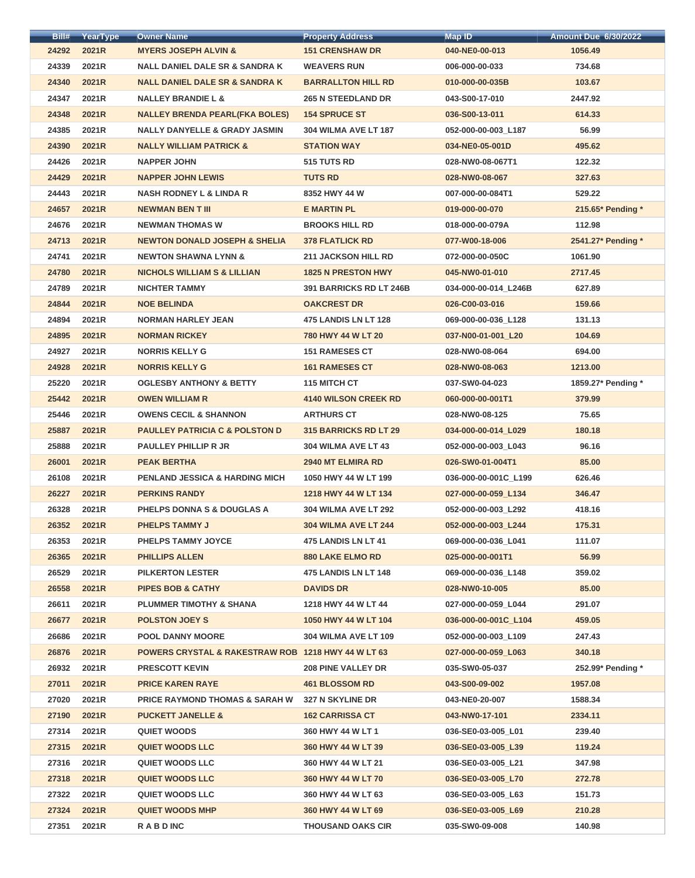| Bill# | YearType | <b>Owner Name</b>                                             | <b>Property Address</b>      | <b>Map ID</b>        | <b>Amount Due 6/30/2022</b> |
|-------|----------|---------------------------------------------------------------|------------------------------|----------------------|-----------------------------|
| 24292 | 2021R    | <b>MYERS JOSEPH ALVIN &amp;</b>                               | <b>151 CRENSHAW DR</b>       | 040-NE0-00-013       | 1056.49                     |
| 24339 | 2021R    | <b>NALL DANIEL DALE SR &amp; SANDRA K</b>                     | <b>WEAVERS RUN</b>           | 006-000-00-033       | 734.68                      |
| 24340 | 2021R    | <b>NALL DANIEL DALE SR &amp; SANDRA K</b>                     | <b>BARRALLTON HILL RD</b>    | 010-000-00-035B      | 103.67                      |
| 24347 | 2021R    | <b>NALLEY BRANDIE L &amp;</b>                                 | <b>265 N STEEDLAND DR</b>    | 043-S00-17-010       | 2447.92                     |
| 24348 | 2021R    | <b>NALLEY BRENDA PEARL(FKA BOLES)</b>                         | <b>154 SPRUCE ST</b>         | 036-S00-13-011       | 614.33                      |
| 24385 | 2021R    | <b>NALLY DANYELLE &amp; GRADY JASMIN</b>                      | <b>304 WILMA AVE LT 187</b>  | 052-000-00-003 L187  | 56.99                       |
| 24390 | 2021R    | <b>NALLY WILLIAM PATRICK &amp;</b>                            | <b>STATION WAY</b>           | 034-NE0-05-001D      | 495.62                      |
| 24426 | 2021R    | <b>NAPPER JOHN</b>                                            | 515 TUTS RD                  | 028-NW0-08-067T1     | 122.32                      |
| 24429 | 2021R    | <b>NAPPER JOHN LEWIS</b>                                      | <b>TUTS RD</b>               | 028-NW0-08-067       | 327.63                      |
| 24443 | 2021R    | <b>NASH RODNEY L &amp; LINDA R</b>                            | 8352 HWY 44 W                | 007-000-00-084T1     | 529.22                      |
| 24657 | 2021R    | <b>NEWMAN BEN T III</b>                                       | <b>E MARTIN PL</b>           | 019-000-00-070       | 215.65* Pending *           |
| 24676 | 2021R    | <b>NEWMAN THOMAS W</b>                                        | <b>BROOKS HILL RD</b>        | 018-000-00-079A      | 112.98                      |
| 24713 | 2021R    | <b>NEWTON DONALD JOSEPH &amp; SHELIA</b>                      | <b>378 FLATLICK RD</b>       | 077-W00-18-006       | 2541.27* Pending *          |
| 24741 | 2021R    | <b>NEWTON SHAWNA LYNN &amp;</b>                               | <b>211 JACKSON HILL RD</b>   | 072-000-00-050C      | 1061.90                     |
| 24780 | 2021R    | <b>NICHOLS WILLIAM S &amp; LILLIAN</b>                        | <b>1825 N PRESTON HWY</b>    | 045-NW0-01-010       | 2717.45                     |
| 24789 | 2021R    | <b>NICHTER TAMMY</b>                                          | 391 BARRICKS RD LT 246B      | 034-000-00-014_L246B | 627.89                      |
| 24844 | 2021R    | <b>NOE BELINDA</b>                                            | <b>OAKCREST DR</b>           | 026-C00-03-016       | 159.66                      |
| 24894 | 2021R    | <b>NORMAN HARLEY JEAN</b>                                     | 475 LANDIS LN LT 128         | 069-000-00-036_L128  | 131.13                      |
| 24895 | 2021R    | <b>NORMAN RICKEY</b>                                          | 780 HWY 44 W LT 20           | 037-N00-01-001_L20   | 104.69                      |
| 24927 | 2021R    | <b>NORRIS KELLY G</b>                                         | <b>151 RAMESES CT</b>        | 028-NW0-08-064       | 694.00                      |
| 24928 | 2021R    | <b>NORRIS KELLY G</b>                                         | <b>161 RAMESES CT</b>        | 028-NW0-08-063       | 1213.00                     |
| 25220 | 2021R    | <b>OGLESBY ANTHONY &amp; BETTY</b>                            | 115 MITCH CT                 | 037-SW0-04-023       | 1859.27* Pending *          |
| 25442 | 2021R    | <b>OWEN WILLIAM R</b>                                         | <b>4140 WILSON CREEK RD</b>  | 060-000-00-001T1     | 379.99                      |
| 25446 | 2021R    | <b>OWENS CECIL &amp; SHANNON</b>                              | <b>ARTHURS CT</b>            | 028-NW0-08-125       | 75.65                       |
| 25887 | 2021R    | <b>PAULLEY PATRICIA C &amp; POLSTON D</b>                     | <b>315 BARRICKS RD LT 29</b> | 034-000-00-014 L029  | 180.18                      |
| 25888 | 2021R    | <b>PAULLEY PHILLIP R JR</b>                                   | 304 WILMA AVE LT 43          | 052-000-00-003_L043  | 96.16                       |
| 26001 | 2021R    | <b>PEAK BERTHA</b>                                            | <b>2940 MT ELMIRA RD</b>     | 026-SW0-01-004T1     | 85.00                       |
| 26108 | 2021R    | <b>PENLAND JESSICA &amp; HARDING MICH</b>                     | 1050 HWY 44 W LT 199         | 036-000-00-001C_L199 | 626.46                      |
| 26227 | 2021R    | <b>PERKINS RANDY</b>                                          | 1218 HWY 44 W LT 134         | 027-000-00-059 L134  | 346.47                      |
| 26328 | 2021R    | PHELPS DONNA S & DOUGLAS A                                    | <b>304 WILMA AVE LT 292</b>  | 052-000-00-003 L292  | 418.16                      |
| 26352 | 2021R    | <b>PHELPS TAMMY J</b>                                         | <b>304 WILMA AVE LT 244</b>  | 052-000-00-003 L244  | 175.31                      |
| 26353 | 2021R    | <b>PHELPS TAMMY JOYCE</b>                                     | 475 LANDIS LN LT 41          | 069-000-00-036_L041  | 111.07                      |
| 26365 | 2021R    | <b>PHILLIPS ALLEN</b>                                         | <b>880 LAKE ELMO RD</b>      | 025-000-00-001T1     | 56.99                       |
| 26529 | 2021R    | <b>PILKERTON LESTER</b>                                       | <b>475 LANDIS LN LT 148</b>  | 069-000-00-036 L148  | 359.02                      |
| 26558 | 2021R    | <b>PIPES BOB &amp; CATHY</b>                                  | <b>DAVIDS DR</b>             | 028-NW0-10-005       | 85.00                       |
| 26611 | 2021R    | <b>PLUMMER TIMOTHY &amp; SHANA</b>                            | 1218 HWY 44 W LT 44          | 027-000-00-059 L044  | 291.07                      |
| 26677 | 2021R    | <b>POLSTON JOEY S</b>                                         | 1050 HWY 44 W LT 104         | 036-000-00-001C_L104 | 459.05                      |
| 26686 | 2021R    | <b>POOL DANNY MOORE</b>                                       | <b>304 WILMA AVE LT 109</b>  | 052-000-00-003_L109  | 247.43                      |
| 26876 | 2021R    | <b>POWERS CRYSTAL &amp; RAKESTRAW ROB 1218 HWY 44 W LT 63</b> |                              | 027-000-00-059 L063  | 340.18                      |
| 26932 | 2021R    | <b>PRESCOTT KEVIN</b>                                         | <b>208 PINE VALLEY DR</b>    | 035-SW0-05-037       | 252.99* Pending *           |
| 27011 | 2021R    | <b>PRICE KAREN RAYE</b>                                       | <b>461 BLOSSOM RD</b>        | 043-S00-09-002       | 1957.08                     |
| 27020 | 2021R    | <b>PRICE RAYMOND THOMAS &amp; SARAH W</b>                     | 327 N SKYLINE DR             | 043-NE0-20-007       | 1588.34                     |
| 27190 | 2021R    | <b>PUCKETT JANELLE &amp;</b>                                  | <b>162 CARRISSA CT</b>       | 043-NW0-17-101       | 2334.11                     |
| 27314 | 2021R    | <b>QUIET WOODS</b>                                            | 360 HWY 44 W LT 1            | 036-SE0-03-005_L01   | 239.40                      |
| 27315 | 2021R    | <b>QUIET WOODS LLC</b>                                        | 360 HWY 44 W LT 39           | 036-SE0-03-005_L39   | 119.24                      |
| 27316 | 2021R    | <b>QUIET WOODS LLC</b>                                        | 360 HWY 44 W LT 21           | 036-SE0-03-005 L21   | 347.98                      |
| 27318 | 2021R    | <b>QUIET WOODS LLC</b>                                        | 360 HWY 44 W LT 70           | 036-SE0-03-005_L70   | 272.78                      |
| 27322 | 2021R    | <b>QUIET WOODS LLC</b>                                        | 360 HWY 44 W LT 63           | 036-SE0-03-005 L63   | 151.73                      |
| 27324 | 2021R    | <b>QUIET WOODS MHP</b>                                        | 360 HWY 44 W LT 69           | 036-SE0-03-005 L69   | 210.28                      |
| 27351 | 2021R    | <b>RABDINC</b>                                                | <b>THOUSAND OAKS CIR</b>     | 035-SW0-09-008       | 140.98                      |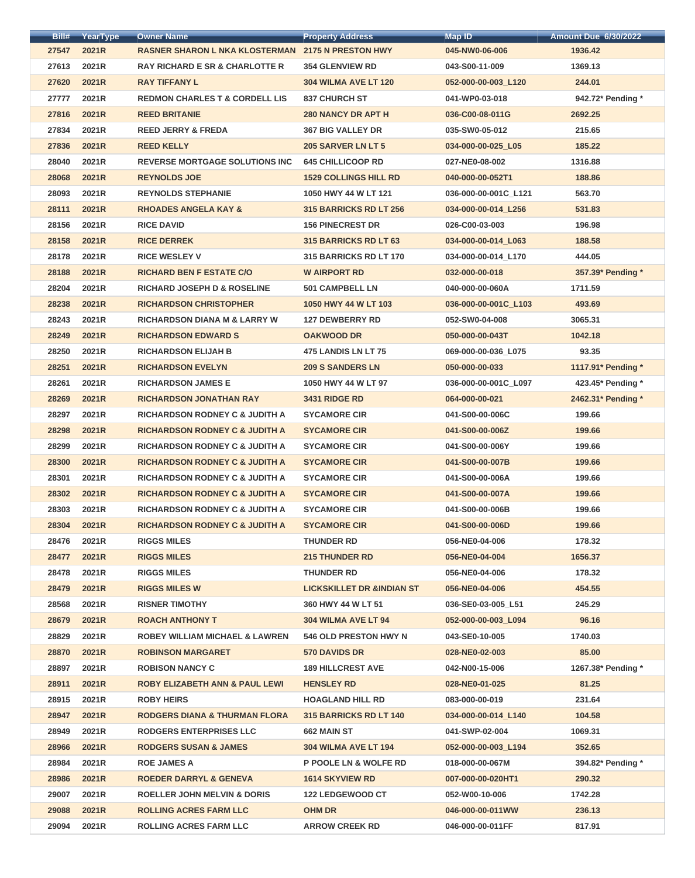| Bill# | YearType | <b>Owner Name</b>                                        | <b>Property Address</b>              | <b>Map ID</b>        | <b>Amount Due 6/30/2022</b> |
|-------|----------|----------------------------------------------------------|--------------------------------------|----------------------|-----------------------------|
| 27547 | 2021R    | <b>RASNER SHARON L NKA KLOSTERMAN 2175 N PRESTON HWY</b> |                                      | 045-NW0-06-006       | 1936.42                     |
| 27613 | 2021R    | <b>RAY RICHARD E SR &amp; CHARLOTTE R</b>                | <b>354 GLENVIEW RD</b>               | 043-S00-11-009       | 1369.13                     |
| 27620 | 2021R    | <b>RAY TIFFANY L</b>                                     | <b>304 WILMA AVE LT 120</b>          | 052-000-00-003_L120  | 244.01                      |
| 27777 | 2021R    | <b>REDMON CHARLES T &amp; CORDELL LIS</b>                | <b>837 CHURCH ST</b>                 | 041-WP0-03-018       | 942.72* Pending *           |
| 27816 | 2021R    | <b>REED BRITANIE</b>                                     | <b>280 NANCY DR APT H</b>            | 036-C00-08-011G      | 2692.25                     |
| 27834 | 2021R    | <b>REED JERRY &amp; FREDA</b>                            | <b>367 BIG VALLEY DR</b>             | 035-SW0-05-012       | 215.65                      |
| 27836 | 2021R    | <b>REED KELLY</b>                                        | 205 SARVER LN LT 5                   | 034-000-00-025_L05   | 185.22                      |
| 28040 | 2021R    | <b>REVERSE MORTGAGE SOLUTIONS INC</b>                    | <b>645 CHILLICOOP RD</b>             | 027-NE0-08-002       | 1316.88                     |
| 28068 | 2021R    | <b>REYNOLDS JOE</b>                                      | <b>1529 COLLINGS HILL RD</b>         | 040-000-00-052T1     | 188.86                      |
| 28093 | 2021R    | <b>REYNOLDS STEPHANIE</b>                                | 1050 HWY 44 W LT 121                 | 036-000-00-001C L121 | 563.70                      |
| 28111 | 2021R    | <b>RHOADES ANGELA KAY &amp;</b>                          | 315 BARRICKS RD LT 256               | 034-000-00-014 L256  | 531.83                      |
| 28156 | 2021R    | <b>RICE DAVID</b>                                        | <b>156 PINECREST DR</b>              | 026-C00-03-003       | 196.98                      |
| 28158 | 2021R    | <b>RICE DERREK</b>                                       | 315 BARRICKS RD LT 63                | 034-000-00-014_L063  | 188.58                      |
| 28178 | 2021R    | <b>RICE WESLEY V</b>                                     | <b>315 BARRICKS RD LT 170</b>        | 034-000-00-014_L170  | 444.05                      |
| 28188 | 2021R    | <b>RICHARD BEN F ESTATE C/O</b>                          | <b>W AIRPORT RD</b>                  | 032-000-00-018       | 357.39* Pending *           |
| 28204 | 2021R    | <b>RICHARD JOSEPH D &amp; ROSELINE</b>                   | <b>501 CAMPBELL LN</b>               | 040-000-00-060A      | 1711.59                     |
| 28238 | 2021R    | <b>RICHARDSON CHRISTOPHER</b>                            | 1050 HWY 44 W LT 103                 | 036-000-00-001C_L103 | 493.69                      |
| 28243 | 2021R    | <b>RICHARDSON DIANA M &amp; LARRY W</b>                  | <b>127 DEWBERRY RD</b>               | 052-SW0-04-008       | 3065.31                     |
| 28249 | 2021R    | <b>RICHARDSON EDWARD S</b>                               | <b>OAKWOOD DR</b>                    | 050-000-00-043T      | 1042.18                     |
| 28250 | 2021R    | <b>RICHARDSON ELIJAH B</b>                               | 475 LANDIS LN LT 75                  | 069-000-00-036_L075  | 93.35                       |
| 28251 | 2021R    | <b>RICHARDSON EVELYN</b>                                 | <b>209 S SANDERS LN</b>              | 050-000-00-033       | 1117.91* Pending *          |
| 28261 | 2021R    | <b>RICHARDSON JAMES E</b>                                | 1050 HWY 44 W LT 97                  | 036-000-00-001C_L097 | 423.45* Pending *           |
| 28269 | 2021R    | <b>RICHARDSON JONATHAN RAY</b>                           | <b>3431 RIDGE RD</b>                 | 064-000-00-021       | 2462.31* Pending *          |
| 28297 | 2021R    | <b>RICHARDSON RODNEY C &amp; JUDITH A</b>                | <b>SYCAMORE CIR</b>                  | 041-S00-00-006C      | 199.66                      |
| 28298 | 2021R    | <b>RICHARDSON RODNEY C &amp; JUDITH A</b>                | <b>SYCAMORE CIR</b>                  | 041-S00-00-006Z      | 199.66                      |
| 28299 | 2021R    | <b>RICHARDSON RODNEY C &amp; JUDITH A</b>                | <b>SYCAMORE CIR</b>                  | 041-S00-00-006Y      | 199.66                      |
| 28300 | 2021R    | <b>RICHARDSON RODNEY C &amp; JUDITH A</b>                | <b>SYCAMORE CIR</b>                  | 041-S00-00-007B      | 199.66                      |
| 28301 | 2021R    | <b>RICHARDSON RODNEY C &amp; JUDITH A</b>                | <b>SYCAMORE CIR</b>                  | 041-S00-00-006A      | 199.66                      |
| 28302 | 2021R    | <b>RICHARDSON RODNEY C &amp; JUDITH A</b>                | <b>SYCAMORE CIR</b>                  | 041-S00-00-007A      | 199.66                      |
| 28303 | 2021R    | <b>RICHARDSON RODNEY C &amp; JUDITH A</b>                | <b>SYCAMORE CIR</b>                  | 041-S00-00-006B      | 199.66                      |
| 28304 | 2021R    | <b>RICHARDSON RODNEY C &amp; JUDITH A</b>                | <b>SYCAMORE CIR</b>                  | 041-S00-00-006D      | 199.66                      |
| 28476 | 2021R    | <b>RIGGS MILES</b>                                       | <b>THUNDER RD</b>                    | 056-NE0-04-006       | 178.32                      |
| 28477 | 2021R    | <b>RIGGS MILES</b>                                       | <b>215 THUNDER RD</b>                | 056-NE0-04-004       | 1656.37                     |
| 28478 | 2021R    | <b>RIGGS MILES</b>                                       | <b>THUNDER RD</b>                    | 056-NE0-04-006       | 178.32                      |
| 28479 | 2021R    | <b>RIGGS MILES W</b>                                     | <b>LICKSKILLET DR &amp;INDIAN ST</b> | 056-NE0-04-006       | 454.55                      |
| 28568 | 2021R    | <b>RISNER TIMOTHY</b>                                    | 360 HWY 44 W LT 51                   | 036-SE0-03-005 L51   | 245.29                      |
| 28679 | 2021R    | <b>ROACH ANTHONY T</b>                                   | 304 WILMA AVE LT 94                  | 052-000-00-003_L094  | 96.16                       |
| 28829 | 2021R    | <b>ROBEY WILLIAM MICHAEL &amp; LAWREN</b>                | <b>546 OLD PRESTON HWY N</b>         | 043-SE0-10-005       | 1740.03                     |
| 28870 | 2021R    | <b>ROBINSON MARGARET</b>                                 | <b>570 DAVIDS DR</b>                 | 028-NE0-02-003       | 85.00                       |
| 28897 | 2021R    | <b>ROBISON NANCY C</b>                                   | <b>189 HILLCREST AVE</b>             | 042-N00-15-006       | 1267.38* Pending *          |
| 28911 | 2021R    | <b>ROBY ELIZABETH ANN &amp; PAUL LEWI</b>                | <b>HENSLEY RD</b>                    | 028-NE0-01-025       | 81.25                       |
| 28915 | 2021R    | <b>ROBY HEIRS</b>                                        | <b>HOAGLAND HILL RD</b>              | 083-000-00-019       | 231.64                      |
| 28947 | 2021R    | <b>RODGERS DIANA &amp; THURMAN FLORA</b>                 | <b>315 BARRICKS RD LT 140</b>        | 034-000-00-014 L140  | 104.58                      |
| 28949 | 2021R    | <b>RODGERS ENTERPRISES LLC</b>                           | 662 MAIN ST                          | 041-SWP-02-004       | 1069.31                     |
| 28966 | 2021R    | <b>RODGERS SUSAN &amp; JAMES</b>                         | <b>304 WILMA AVE LT 194</b>          | 052-000-00-003_L194  | 352.65                      |
| 28984 | 2021R    | <b>ROE JAMES A</b>                                       | <b>P POOLE LN &amp; WOLFE RD</b>     | 018-000-00-067M      | 394.82* Pending *           |
| 28986 | 2021R    | <b>ROEDER DARRYL &amp; GENEVA</b>                        | <b>1614 SKYVIEW RD</b>               | 007-000-00-020HT1    | 290.32                      |
| 29007 | 2021R    | <b>ROELLER JOHN MELVIN &amp; DORIS</b>                   | <b>122 LEDGEWOOD CT</b>              | 052-W00-10-006       | 1742.28                     |
| 29088 | 2021R    | <b>ROLLING ACRES FARM LLC</b>                            | <b>OHM DR</b>                        | 046-000-00-011WW     | 236.13                      |
| 29094 | 2021R    | <b>ROLLING ACRES FARM LLC</b>                            | <b>ARROW CREEK RD</b>                | 046-000-00-011FF     | 817.91                      |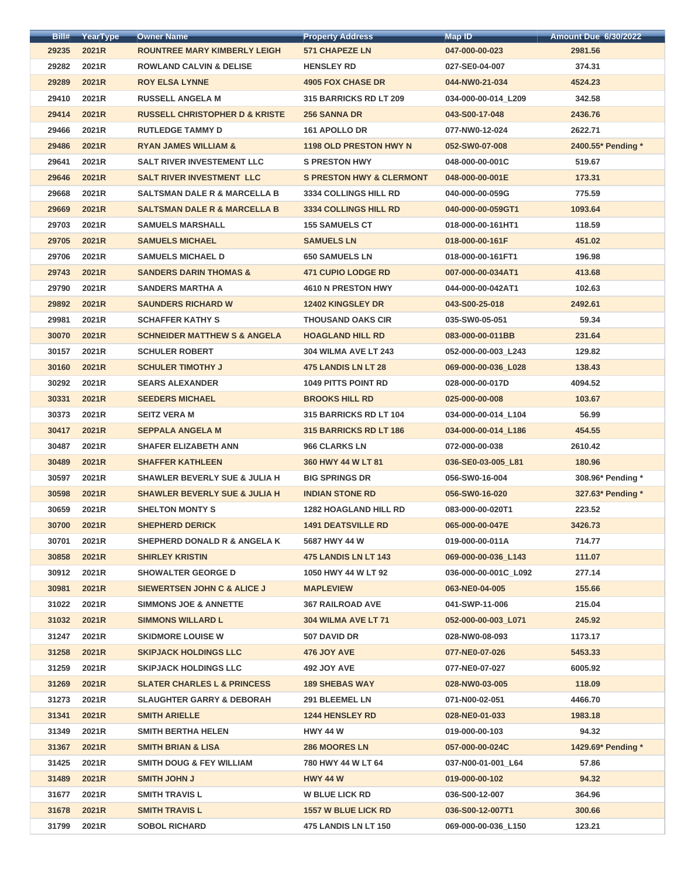| Bill# | YearType | <b>Owner Name</b>                         | <b>Property Address</b>             | <b>Map ID</b>        | <b>Amount Due 6/30/2022</b> |
|-------|----------|-------------------------------------------|-------------------------------------|----------------------|-----------------------------|
| 29235 | 2021R    | <b>ROUNTREE MARY KIMBERLY LEIGH</b>       | <b>571 CHAPEZE LN</b>               | 047-000-00-023       | 2981.56                     |
| 29282 | 2021R    | <b>ROWLAND CALVIN &amp; DELISE</b>        | <b>HENSLEY RD</b>                   | 027-SE0-04-007       | 374.31                      |
| 29289 | 2021R    | <b>ROY ELSA LYNNE</b>                     | <b>4905 FOX CHASE DR</b>            | 044-NW0-21-034       | 4524.23                     |
| 29410 | 2021R    | <b>RUSSELL ANGELA M</b>                   | <b>315 BARRICKS RD LT 209</b>       | 034-000-00-014_L209  | 342.58                      |
| 29414 | 2021R    | <b>RUSSELL CHRISTOPHER D &amp; KRISTE</b> | <b>256 SANNA DR</b>                 | 043-S00-17-048       | 2436.76                     |
| 29466 | 2021R    | <b>RUTLEDGE TAMMY D</b>                   | <b>161 APOLLO DR</b>                | 077-NW0-12-024       | 2622.71                     |
| 29486 | 2021R    | <b>RYAN JAMES WILLIAM &amp;</b>           | <b>1198 OLD PRESTON HWY N</b>       | 052-SW0-07-008       | 2400.55* Pending *          |
| 29641 | 2021R    | <b>SALT RIVER INVESTEMENT LLC</b>         | <b>S PRESTON HWY</b>                | 048-000-00-001C      | 519.67                      |
| 29646 | 2021R    | <b>SALT RIVER INVESTMENT LLC</b>          | <b>S PRESTON HWY &amp; CLERMONT</b> | 048-000-00-001E      | 173.31                      |
| 29668 | 2021R    | <b>SALTSMAN DALE R &amp; MARCELLA B</b>   | <b>3334 COLLINGS HILL RD</b>        | 040-000-00-059G      | 775.59                      |
| 29669 | 2021R    | <b>SALTSMAN DALE R &amp; MARCELLA B</b>   | 3334 COLLINGS HILL RD               | 040-000-00-059GT1    | 1093.64                     |
| 29703 | 2021R    | <b>SAMUELS MARSHALL</b>                   | <b>155 SAMUELS CT</b>               | 018-000-00-161HT1    | 118.59                      |
| 29705 | 2021R    | <b>SAMUELS MICHAEL</b>                    | <b>SAMUELS LN</b>                   | 018-000-00-161F      | 451.02                      |
| 29706 | 2021R    | <b>SAMUELS MICHAEL D</b>                  | <b>650 SAMUELS LN</b>               | 018-000-00-161FT1    | 196.98                      |
| 29743 | 2021R    | <b>SANDERS DARIN THOMAS &amp;</b>         | <b>471 CUPIO LODGE RD</b>           | 007-000-00-034AT1    | 413.68                      |
| 29790 | 2021R    | <b>SANDERS MARTHA A</b>                   | 4610 N PRESTON HWY                  | 044-000-00-042AT1    | 102.63                      |
| 29892 | 2021R    | <b>SAUNDERS RICHARD W</b>                 | 12402 KINGSLEY DR                   | 043-S00-25-018       | 2492.61                     |
| 29981 | 2021R    | <b>SCHAFFER KATHY S</b>                   | <b>THOUSAND OAKS CIR</b>            | 035-SW0-05-051       | 59.34                       |
| 30070 | 2021R    | <b>SCHNEIDER MATTHEW S &amp; ANGELA</b>   | <b>HOAGLAND HILL RD</b>             | 083-000-00-011BB     | 231.64                      |
| 30157 | 2021R    | <b>SCHULER ROBERT</b>                     | <b>304 WILMA AVE LT 243</b>         | 052-000-00-003_L243  | 129.82                      |
| 30160 | 2021R    | <b>SCHULER TIMOTHY J</b>                  | <b>475 LANDIS LN LT 28</b>          | 069-000-00-036_L028  | 138.43                      |
| 30292 | 2021R    | <b>SEARS ALEXANDER</b>                    | <b>1049 PITTS POINT RD</b>          | 028-000-00-017D      | 4094.52                     |
| 30331 | 2021R    | <b>SEEDERS MICHAEL</b>                    | <b>BROOKS HILL RD</b>               | 025-000-00-008       | 103.67                      |
| 30373 | 2021R    | <b>SEITZ VERA M</b>                       | <b>315 BARRICKS RD LT 104</b>       | 034-000-00-014 L104  | 56.99                       |
| 30417 | 2021R    | <b>SEPPALA ANGELA M</b>                   | <b>315 BARRICKS RD LT 186</b>       | 034-000-00-014_L186  | 454.55                      |
| 30487 | 2021R    | <b>SHAFER ELIZABETH ANN</b>               | 966 CLARKS LN                       | 072-000-00-038       | 2610.42                     |
| 30489 | 2021R    | <b>SHAFFER KATHLEEN</b>                   | 360 HWY 44 W LT 81                  | 036-SE0-03-005_L81   | 180.96                      |
| 30597 | 2021R    | <b>SHAWLER BEVERLY SUE &amp; JULIA H</b>  | <b>BIG SPRINGS DR</b>               | 056-SW0-16-004       | 308.96* Pending *           |
| 30598 | 2021R    | <b>SHAWLER BEVERLY SUE &amp; JULIA H</b>  | <b>INDIAN STONE RD</b>              | 056-SW0-16-020       | 327.63* Pending *           |
| 30659 | 2021R    | <b>SHELTON MONTY S</b>                    | <b>1282 HOAGLAND HILL RD</b>        | 083-000-00-020T1     | 223.52                      |
| 30700 | 2021R    | <b>SHEPHERD DERICK</b>                    | <b>1491 DEATSVILLE RD</b>           | 065-000-00-047E      | 3426.73                     |
| 30701 | 2021R    | <b>SHEPHERD DONALD R &amp; ANGELA K</b>   | 5687 HWY 44 W                       | 019-000-00-011A      | 714.77                      |
| 30858 | 2021R    | <b>SHIRLEY KRISTIN</b>                    | <b>475 LANDIS LN LT 143</b>         | 069-000-00-036 L143  | 111.07                      |
| 30912 | 2021R    | <b>SHOWALTER GEORGE D</b>                 | 1050 HWY 44 W LT 92                 | 036-000-00-001C_L092 | 277.14                      |
| 30981 | 2021R    | <b>SIEWERTSEN JOHN C &amp; ALICE J</b>    | <b>MAPLEVIEW</b>                    | 063-NE0-04-005       | 155.66                      |
| 31022 | 2021R    | <b>SIMMONS JOE &amp; ANNETTE</b>          | <b>367 RAILROAD AVE</b>             | 041-SWP-11-006       | 215.04                      |
| 31032 | 2021R    | <b>SIMMONS WILLARD L</b>                  | 304 WILMA AVE LT 71                 | 052-000-00-003_L071  | 245.92                      |
| 31247 | 2021R    | <b>SKIDMORE LOUISE W</b>                  | 507 DAVID DR                        | 028-NW0-08-093       | 1173.17                     |
| 31258 | 2021R    | <b>SKIPJACK HOLDINGS LLC</b>              | 476 JOY AVE                         | 077-NE0-07-026       | 5453.33                     |
| 31259 | 2021R    | <b>SKIPJACK HOLDINGS LLC</b>              | <b>492 JOY AVE</b>                  | 077-NE0-07-027       | 6005.92                     |
| 31269 | 2021R    | <b>SLATER CHARLES L &amp; PRINCESS</b>    | <b>189 SHEBAS WAY</b>               | 028-NW0-03-005       | 118.09                      |
| 31273 | 2021R    | <b>SLAUGHTER GARRY &amp; DEBORAH</b>      | 291 BLEEMEL LN                      | 071-N00-02-051       | 4466.70                     |
| 31341 | 2021R    | <b>SMITH ARIELLE</b>                      | <b>1244 HENSLEY RD</b>              | 028-NE0-01-033       | 1983.18                     |
| 31349 | 2021R    | <b>SMITH BERTHA HELEN</b>                 | <b>HWY 44 W</b>                     | 019-000-00-103       | 94.32                       |
| 31367 | 2021R    | <b>SMITH BRIAN &amp; LISA</b>             | <b>286 MOORES LN</b>                | 057-000-00-024C      | 1429.69* Pending *          |
| 31425 | 2021R    | <b>SMITH DOUG &amp; FEY WILLIAM</b>       | 780 HWY 44 W LT 64                  | 037-N00-01-001 L64   | 57.86                       |
| 31489 | 2021R    | <b>SMITH JOHN J</b>                       | <b>HWY 44 W</b>                     | 019-000-00-102       | 94.32                       |
| 31677 | 2021R    | <b>SMITH TRAVIS L</b>                     | <b>W BLUE LICK RD</b>               | 036-S00-12-007       | 364.96                      |
| 31678 | 2021R    | <b>SMITH TRAVIS L</b>                     | <b>1557 W BLUE LICK RD</b>          | 036-S00-12-007T1     | 300.66                      |
| 31799 | 2021R    | <b>SOBOL RICHARD</b>                      | <b>475 LANDIS LN LT 150</b>         | 069-000-00-036 L150  | 123.21                      |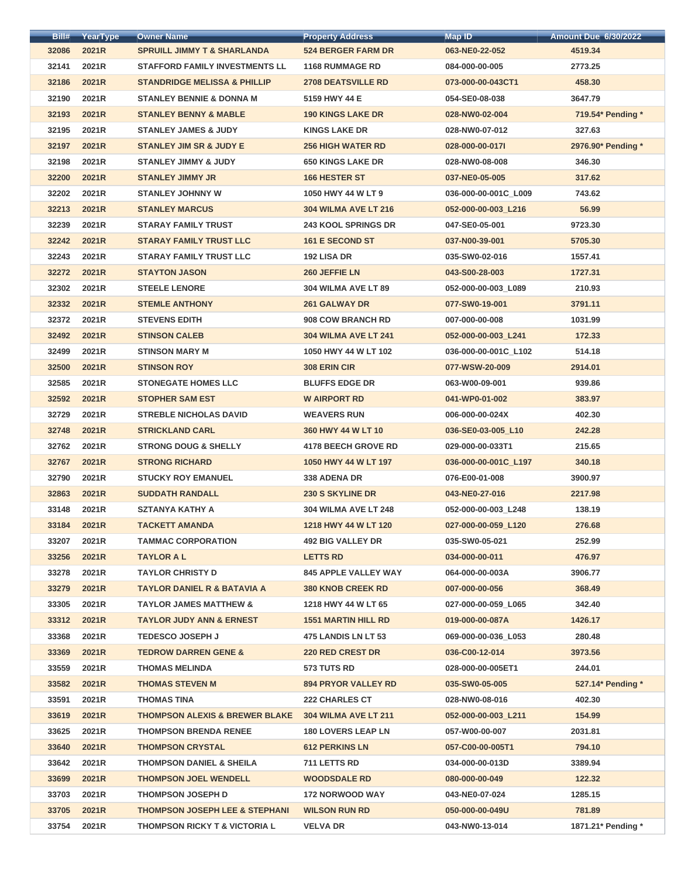| Bill# | YearType | <b>Owner Name</b>                         | <b>Property Address</b>     | Map ID               | <b>Amount Due 6/30/2022</b> |
|-------|----------|-------------------------------------------|-----------------------------|----------------------|-----------------------------|
| 32086 | 2021R    | <b>SPRUILL JIMMY T &amp; SHARLANDA</b>    | <b>524 BERGER FARM DR</b>   | 063-NE0-22-052       | 4519.34                     |
| 32141 | 2021R    | <b>STAFFORD FAMILY INVESTMENTS LL</b>     | <b>1168 RUMMAGE RD</b>      | 084-000-00-005       | 2773.25                     |
| 32186 | 2021R    | <b>STANDRIDGE MELISSA &amp; PHILLIP</b>   | <b>2708 DEATSVILLE RD</b>   | 073-000-00-043CT1    | 458.30                      |
| 32190 | 2021R    | <b>STANLEY BENNIE &amp; DONNA M</b>       | 5159 HWY 44 E               | 054-SE0-08-038       | 3647.79                     |
| 32193 | 2021R    | <b>STANLEY BENNY &amp; MABLE</b>          | <b>190 KINGS LAKE DR</b>    | 028-NW0-02-004       | 719.54* Pending *           |
| 32195 | 2021R    | <b>STANLEY JAMES &amp; JUDY</b>           | <b>KINGS LAKE DR</b>        | 028-NW0-07-012       | 327.63                      |
| 32197 | 2021R    | <b>STANLEY JIM SR &amp; JUDY E</b>        | <b>256 HIGH WATER RD</b>    | 028-000-00-0171      | 2976.90* Pending *          |
| 32198 | 2021R    | <b>STANLEY JIMMY &amp; JUDY</b>           | <b>650 KINGS LAKE DR</b>    | 028-NW0-08-008       | 346.30                      |
| 32200 | 2021R    | <b>STANLEY JIMMY JR</b>                   | <b>166 HESTER ST</b>        | 037-NE0-05-005       | 317.62                      |
| 32202 | 2021R    | <b>STANLEY JOHNNY W</b>                   | 1050 HWY 44 W LT 9          | 036-000-00-001C_L009 | 743.62                      |
| 32213 | 2021R    | <b>STANLEY MARCUS</b>                     | <b>304 WILMA AVE LT 216</b> | 052-000-00-003 L216  | 56.99                       |
| 32239 | 2021R    | <b>STARAY FAMILY TRUST</b>                | <b>243 KOOL SPRINGS DR</b>  | 047-SE0-05-001       | 9723.30                     |
| 32242 | 2021R    | <b>STARAY FAMILY TRUST LLC</b>            | <b>161 E SECOND ST</b>      | 037-N00-39-001       | 5705.30                     |
| 32243 | 2021R    | <b>STARAY FAMILY TRUST LLC</b>            | 192 LISA DR                 | 035-SW0-02-016       | 1557.41                     |
| 32272 | 2021R    | <b>STAYTON JASON</b>                      | 260 JEFFIE LN               | 043-S00-28-003       | 1727.31                     |
| 32302 | 2021R    | <b>STEELE LENORE</b>                      | 304 WILMA AVE LT 89         | 052-000-00-003_L089  | 210.93                      |
| 32332 | 2021R    | <b>STEMLE ANTHONY</b>                     | <b>261 GALWAY DR</b>        | 077-SW0-19-001       | 3791.11                     |
| 32372 | 2021R    | <b>STEVENS EDITH</b>                      | <b>908 COW BRANCH RD</b>    | 007-000-00-008       | 1031.99                     |
| 32492 | 2021R    | <b>STINSON CALEB</b>                      | <b>304 WILMA AVE LT 241</b> | 052-000-00-003_L241  | 172.33                      |
| 32499 | 2021R    | <b>STINSON MARY M</b>                     | 1050 HWY 44 W LT 102        | 036-000-00-001C_L102 | 514.18                      |
| 32500 | 2021R    | <b>STINSON ROY</b>                        | <b>308 ERIN CIR</b>         | 077-WSW-20-009       | 2914.01                     |
| 32585 | 2021R    | <b>STONEGATE HOMES LLC</b>                | <b>BLUFFS EDGE DR</b>       | 063-W00-09-001       | 939.86                      |
| 32592 | 2021R    | <b>STOPHER SAM EST</b>                    | <b>W AIRPORT RD</b>         | 041-WP0-01-002       | 383.97                      |
| 32729 | 2021R    | <b>STREBLE NICHOLAS DAVID</b>             | <b>WEAVERS RUN</b>          | 006-000-00-024X      | 402.30                      |
| 32748 | 2021R    | <b>STRICKLAND CARL</b>                    | 360 HWY 44 W LT 10          | 036-SE0-03-005 L10   | 242.28                      |
| 32762 | 2021R    | <b>STRONG DOUG &amp; SHELLY</b>           | <b>4178 BEECH GROVE RD</b>  | 029-000-00-033T1     | 215.65                      |
| 32767 | 2021R    | <b>STRONG RICHARD</b>                     | 1050 HWY 44 W LT 197        | 036-000-00-001C L197 | 340.18                      |
| 32790 | 2021R    | <b>STUCKY ROY EMANUEL</b>                 | 338 ADENA DR                | 076-E00-01-008       | 3900.97                     |
| 32863 | 2021R    | <b>SUDDATH RANDALL</b>                    | <b>230 S SKYLINE DR</b>     | 043-NE0-27-016       | 2217.98                     |
| 33148 | 2021R    | <b>SZTANYA KATHY A</b>                    | <b>304 WILMA AVE LT 248</b> | 052-000-00-003_L248  | 138.19                      |
| 33184 | 2021R    | <b>TACKETT AMANDA</b>                     | 1218 HWY 44 W LT 120        | 027-000-00-059_L120  | 276.68                      |
| 33207 | 2021R    | <b>TAMMAC CORPORATION</b>                 | <b>492 BIG VALLEY DR</b>    | 035-SW0-05-021       | 252.99                      |
| 33256 | 2021R    | <b>TAYLOR A L</b>                         | <b>LETTS RD</b>             | 034-000-00-011       | 476.97                      |
| 33278 | 2021R    | <b>TAYLOR CHRISTY D</b>                   | <b>845 APPLE VALLEY WAY</b> | 064-000-00-003A      | 3906.77                     |
| 33279 | 2021R    | <b>TAYLOR DANIEL R &amp; BATAVIA A</b>    | <b>380 KNOB CREEK RD</b>    | 007-000-00-056       | 368.49                      |
| 33305 | 2021R    | <b>TAYLOR JAMES MATTHEW &amp;</b>         | 1218 HWY 44 W LT 65         | 027-000-00-059 L065  | 342.40                      |
| 33312 | 2021R    | <b>TAYLOR JUDY ANN &amp; ERNEST</b>       | <b>1551 MARTIN HILL RD</b>  | 019-000-00-087A      | 1426.17                     |
| 33368 | 2021R    | <b>TEDESCO JOSEPH J</b>                   | <b>475 LANDIS LN LT 53</b>  | 069-000-00-036_L053  | 280.48                      |
| 33369 | 2021R    | <b>TEDROW DARREN GENE &amp;</b>           | <b>220 RED CREST DR</b>     | 036-C00-12-014       | 3973.56                     |
| 33559 | 2021R    | <b>THOMAS MELINDA</b>                     | <b>573 TUTS RD</b>          | 028-000-00-005ET1    | 244.01                      |
| 33582 | 2021R    | <b>THOMAS STEVEN M</b>                    | <b>894 PRYOR VALLEY RD</b>  | 035-SW0-05-005       | 527.14* Pending *           |
| 33591 | 2021R    | <b>THOMAS TINA</b>                        | <b>222 CHARLES CT</b>       | 028-NW0-08-016       | 402.30                      |
| 33619 | 2021R    | <b>THOMPSON ALEXIS &amp; BREWER BLAKE</b> | 304 WILMA AVE LT 211        | 052-000-00-003 L211  | 154.99                      |
| 33625 | 2021R    | <b>THOMPSON BRENDA RENEE</b>              | <b>180 LOVERS LEAP LN</b>   | 057-W00-00-007       | 2031.81                     |
| 33640 | 2021R    | <b>THOMPSON CRYSTAL</b>                   | <b>612 PERKINS LN</b>       | 057-C00-00-005T1     | 794.10                      |
| 33642 | 2021R    | <b>THOMPSON DANIEL &amp; SHEILA</b>       | 711 LETTS RD                | 034-000-00-013D      | 3389.94                     |
| 33699 | 2021R    | <b>THOMPSON JOEL WENDELL</b>              | <b>WOODSDALE RD</b>         | 080-000-00-049       | 122.32                      |
| 33703 | 2021R    | <b>THOMPSON JOSEPH D</b>                  | <b>172 NORWOOD WAY</b>      | 043-NE0-07-024       | 1285.15                     |
| 33705 | 2021R    | <b>THOMPSON JOSEPH LEE &amp; STEPHANI</b> | <b>WILSON RUN RD</b>        | 050-000-00-049U      | 781.89                      |
| 33754 | 2021R    | <b>THOMPSON RICKY T &amp; VICTORIA L</b>  | <b>VELVA DR</b>             | 043-NW0-13-014       | 1871.21* Pending *          |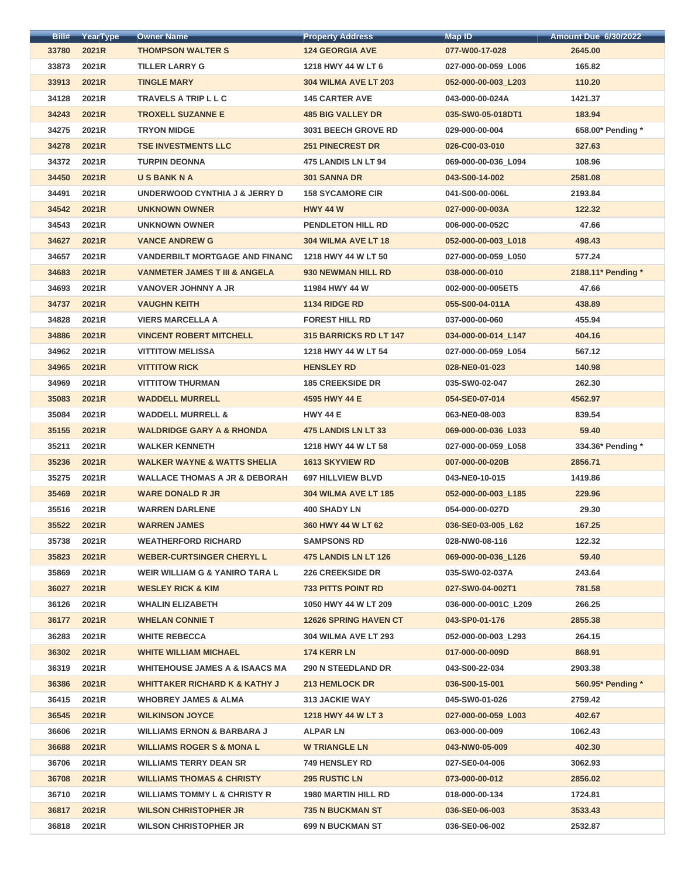| Bill# | YearType | <b>Owner Name</b>                         | <b>Property Address</b>       | <b>Map ID</b>        | <b>Amount Due 6/30/2022</b> |
|-------|----------|-------------------------------------------|-------------------------------|----------------------|-----------------------------|
| 33780 | 2021R    | <b>THOMPSON WALTER S</b>                  | <b>124 GEORGIA AVE</b>        | 077-W00-17-028       | 2645.00                     |
| 33873 | 2021R    | <b>TILLER LARRY G</b>                     | 1218 HWY 44 W LT 6            | 027-000-00-059_L006  | 165.82                      |
| 33913 | 2021R    | <b>TINGLE MARY</b>                        | <b>304 WILMA AVE LT 203</b>   | 052-000-00-003_L203  | 110.20                      |
| 34128 | 2021R    | <b>TRAVELS A TRIP L L C</b>               | <b>145 CARTER AVE</b>         | 043-000-00-024A      | 1421.37                     |
| 34243 | 2021R    | <b>TROXELL SUZANNE E</b>                  | <b>485 BIG VALLEY DR</b>      | 035-SW0-05-018DT1    | 183.94                      |
| 34275 | 2021R    | <b>TRYON MIDGE</b>                        | <b>3031 BEECH GROVE RD</b>    | 029-000-00-004       | 658.00* Pending *           |
| 34278 | 2021R    | <b>TSE INVESTMENTS LLC</b>                | <b>251 PINECREST DR</b>       | 026-C00-03-010       | 327.63                      |
| 34372 | 2021R    | <b>TURPIN DEONNA</b>                      | 475 LANDIS LN LT 94           | 069-000-00-036_L094  | 108.96                      |
| 34450 | 2021R    | <b>USBANKNA</b>                           | <b>301 SANNA DR</b>           | 043-S00-14-002       | 2581.08                     |
| 34491 | 2021R    | <b>UNDERWOOD CYNTHIA J &amp; JERRY D</b>  | <b>158 SYCAMORE CIR</b>       | 041-S00-00-006L      | 2193.84                     |
| 34542 | 2021R    | <b>UNKNOWN OWNER</b>                      | <b>HWY 44 W</b>               | 027-000-00-003A      | 122.32                      |
| 34543 | 2021R    | <b>UNKNOWN OWNER</b>                      | <b>PENDLETON HILL RD</b>      | 006-000-00-052C      | 47.66                       |
| 34627 | 2021R    | <b>VANCE ANDREW G</b>                     | 304 WILMA AVE LT 18           | 052-000-00-003_L018  | 498.43                      |
| 34657 | 2021R    | <b>VANDERBILT MORTGAGE AND FINANC</b>     | 1218 HWY 44 W LT 50           | 027-000-00-059_L050  | 577.24                      |
| 34683 | 2021R    | <b>VANMETER JAMES T III &amp; ANGELA</b>  | 930 NEWMAN HILL RD            | 038-000-00-010       | 2188.11* Pending *          |
| 34693 | 2021R    | <b>VANOVER JOHNNY A JR</b>                | 11984 HWY 44 W                | 002-000-00-005ET5    | 47.66                       |
| 34737 | 2021R    | <b>VAUGHN KEITH</b>                       | <b>1134 RIDGE RD</b>          | 055-S00-04-011A      | 438.89                      |
| 34828 | 2021R    | <b>VIERS MARCELLA A</b>                   | <b>FOREST HILL RD</b>         | 037-000-00-060       | 455.94                      |
| 34886 | 2021R    | <b>VINCENT ROBERT MITCHELL</b>            | <b>315 BARRICKS RD LT 147</b> | 034-000-00-014_L147  | 404.16                      |
| 34962 | 2021R    | <b>VITTITOW MELISSA</b>                   | 1218 HWY 44 W LT 54           | 027-000-00-059_L054  | 567.12                      |
| 34965 | 2021R    | <b>VITTITOW RICK</b>                      | <b>HENSLEY RD</b>             | 028-NE0-01-023       | 140.98                      |
| 34969 | 2021R    | <b>VITTITOW THURMAN</b>                   | <b>185 CREEKSIDE DR</b>       | 035-SW0-02-047       | 262.30                      |
| 35083 | 2021R    | <b>WADDELL MURRELL</b>                    | 4595 HWY 44 E                 | 054-SE0-07-014       | 4562.97                     |
| 35084 | 2021R    | <b>WADDELL MURRELL &amp;</b>              | <b>HWY 44 E</b>               | 063-NE0-08-003       | 839.54                      |
| 35155 | 2021R    | <b>WALDRIDGE GARY A &amp; RHONDA</b>      | <b>475 LANDIS LN LT 33</b>    | 069-000-00-036 L033  | 59.40                       |
| 35211 | 2021R    | <b>WALKER KENNETH</b>                     | 1218 HWY 44 W LT 58           | 027-000-00-059 L058  | 334.36* Pending *           |
| 35236 | 2021R    | <b>WALKER WAYNE &amp; WATTS SHELIA</b>    | <b>1613 SKYVIEW RD</b>        | 007-000-00-020B      | 2856.71                     |
| 35275 | 2021R    | <b>WALLACE THOMAS A JR &amp; DEBORAH</b>  | <b>697 HILLVIEW BLVD</b>      | 043-NE0-10-015       | 1419.86                     |
| 35469 | 2021R    | <b>WARE DONALD R JR</b>                   | <b>304 WILMA AVE LT 185</b>   | 052-000-00-003_L185  | 229.96                      |
| 35516 | 2021R    | <b>WARREN DARLENE</b>                     | <b>400 SHADY LN</b>           | 054-000-00-027D      | 29.30                       |
| 35522 | 2021R    | <b>WARREN JAMES</b>                       | 360 HWY 44 W LT 62            | 036-SE0-03-005 L62   | 167.25                      |
| 35738 | 2021R    | <b>WEATHERFORD RICHARD</b>                | <b>SAMPSONS RD</b>            | 028-NW0-08-116       | 122.32                      |
| 35823 | 2021R    | <b>WEBER-CURTSINGER CHERYL L</b>          | 475 LANDIS LN LT 126          | 069-000-00-036_L126  | 59.40                       |
| 35869 | 2021R    | <b>WEIR WILLIAM G &amp; YANIRO TARA L</b> | <b>226 CREEKSIDE DR</b>       | 035-SW0-02-037A      | 243.64                      |
| 36027 | 2021R    | <b>WESLEY RICK &amp; KIM</b>              | <b>733 PITTS POINT RD</b>     | 027-SW0-04-002T1     | 781.58                      |
| 36126 | 2021R    | <b>WHALIN ELIZABETH</b>                   | 1050 HWY 44 W LT 209          | 036-000-00-001C L209 | 266.25                      |
| 36177 | 2021R    | <b>WHELAN CONNIE T</b>                    | <b>12626 SPRING HAVEN CT</b>  | 043-SP0-01-176       | 2855.38                     |
| 36283 | 2021R    | <b>WHITE REBECCA</b>                      | <b>304 WILMA AVE LT 293</b>   | 052-000-00-003_L293  | 264.15                      |
| 36302 | 2021R    | <b>WHITE WILLIAM MICHAEL</b>              | 174 KERR LN                   | 017-000-00-009D      | 868.91                      |
| 36319 | 2021R    | <b>WHITEHOUSE JAMES A &amp; ISAACS MA</b> | <b>290 N STEEDLAND DR</b>     | 043-S00-22-034       | 2903.38                     |
| 36386 | 2021R    | <b>WHITTAKER RICHARD K &amp; KATHY J</b>  | 213 HEMLOCK DR                | 036-S00-15-001       | 560.95* Pending *           |
| 36415 | 2021R    | <b>WHOBREY JAMES &amp; ALMA</b>           | <b>313 JACKIE WAY</b>         | 045-SW0-01-026       | 2759.42                     |
| 36545 | 2021R    | <b>WILKINSON JOYCE</b>                    | 1218 HWY 44 W LT 3            | 027-000-00-059 L003  | 402.67                      |
| 36606 | 2021R    | <b>WILLIAMS ERNON &amp; BARBARA J</b>     | <b>ALPAR LN</b>               | 063-000-00-009       | 1062.43                     |
| 36688 | 2021R    | <b>WILLIAMS ROGER S &amp; MONAL</b>       | <b>W TRIANGLE LN</b>          | 043-NW0-05-009       | 402.30                      |
| 36706 | 2021R    | <b>WILLIAMS TERRY DEAN SR</b>             | <b>749 HENSLEY RD</b>         | 027-SE0-04-006       | 3062.93                     |
| 36708 | 2021R    | <b>WILLIAMS THOMAS &amp; CHRISTY</b>      | <b>295 RUSTIC LN</b>          | 073-000-00-012       | 2856.02                     |
| 36710 | 2021R    | <b>WILLIAMS TOMMY L &amp; CHRISTY R</b>   | <b>1980 MARTIN HILL RD</b>    | 018-000-00-134       | 1724.81                     |
| 36817 | 2021R    | <b>WILSON CHRISTOPHER JR</b>              | <b>735 N BUCKMAN ST</b>       | 036-SE0-06-003       | 3533.43                     |
| 36818 | 2021R    | <b>WILSON CHRISTOPHER JR</b>              | <b>699 N BUCKMAN ST</b>       | 036-SE0-06-002       | 2532.87                     |